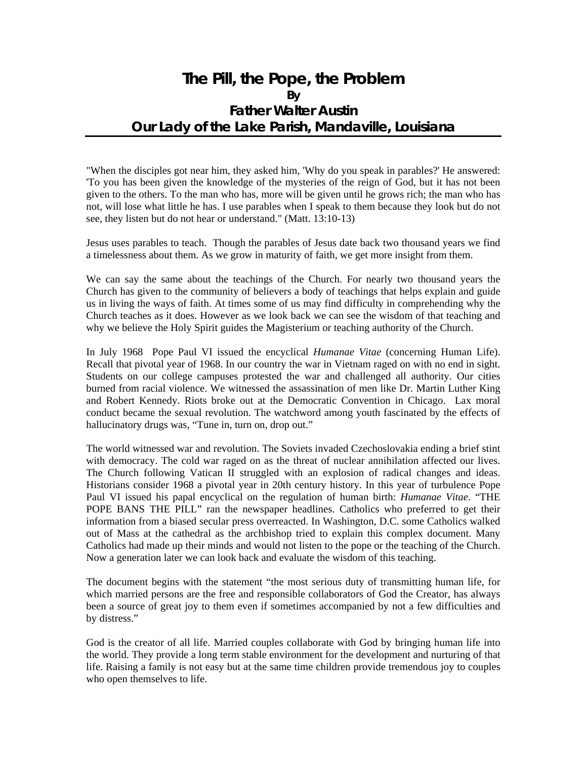## **The Pill, the Pope, the Problem By Father Walter Austin Our Lady of the Lake Parish, Mandaville, Louisiana**

"When the disciples got near him, they asked him, 'Why do you speak in parables?' He answered: 'To you has been given the knowledge of the mysteries of the reign of God, but it has not been given to the others. To the man who has, more will be given until he grows rich; the man who has not, will lose what little he has. I use parables when I speak to them because they look but do not see, they listen but do not hear or understand." (Matt. 13:10-13)

Jesus uses parables to teach. Though the parables of Jesus date back two thousand years we find a timelessness about them. As we grow in maturity of faith, we get more insight from them.

We can say the same about the teachings of the Church. For nearly two thousand years the Church has given to the community of believers a body of teachings that helps explain and guide us in living the ways of faith. At times some of us may find difficulty in comprehending why the Church teaches as it does. However as we look back we can see the wisdom of that teaching and why we believe the Holy Spirit guides the Magisterium or teaching authority of the Church.

In July 1968 Pope Paul VI issued the encyclical *Humanae Vitae* (concerning Human Life). Recall that pivotal year of 1968. In our country the war in Vietnam raged on with no end in sight. Students on our college campuses protested the war and challenged all authority. Our cities burned from racial violence. We witnessed the assassination of men like Dr. Martin Luther King and Robert Kennedy. Riots broke out at the Democratic Convention in Chicago. Lax moral conduct became the sexual revolution. The watchword among youth fascinated by the effects of hallucinatory drugs was, "Tune in, turn on, drop out."

The world witnessed war and revolution. The Soviets invaded Czechoslovakia ending a brief stint with democracy. The cold war raged on as the threat of nuclear annihilation affected our lives. The Church following Vatican II struggled with an explosion of radical changes and ideas. Historians consider 1968 a pivotal year in 20th century history. In this year of turbulence Pope Paul VI issued his papal encyclical on the regulation of human birth: *Humanae Vitae*. "THE POPE BANS THE PILL" ran the newspaper headlines. Catholics who preferred to get their information from a biased secular press overreacted. In Washington, D.C. some Catholics walked out of Mass at the cathedral as the archbishop tried to explain this complex document. Many Catholics had made up their minds and would not listen to the pope or the teaching of the Church. Now a generation later we can look back and evaluate the wisdom of this teaching.

The document begins with the statement "the most serious duty of transmitting human life, for which married persons are the free and responsible collaborators of God the Creator, has always been a source of great joy to them even if sometimes accompanied by not a few difficulties and by distress."

God is the creator of all life. Married couples collaborate with God by bringing human life into the world. They provide a long term stable environment for the development and nurturing of that life. Raising a family is not easy but at the same time children provide tremendous joy to couples who open themselves to life.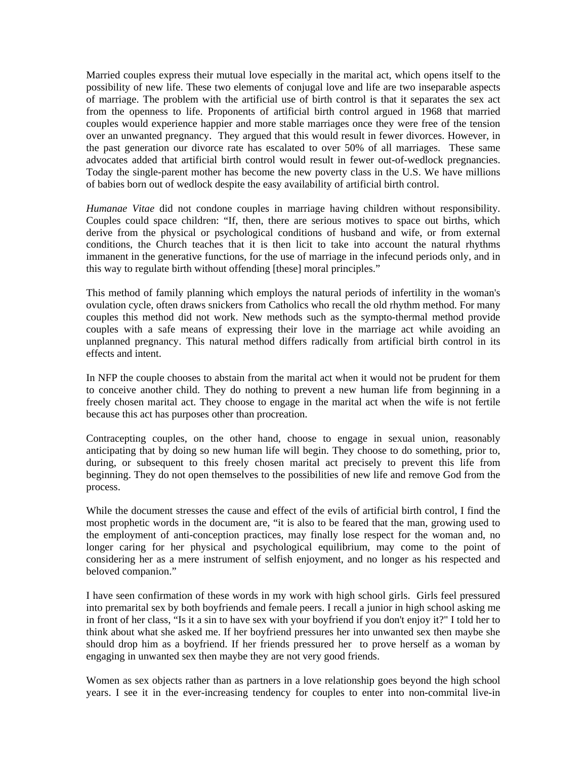Married couples express their mutual love especially in the marital act, which opens itself to the possibility of new life. These two elements of conjugal love and life are two inseparable aspects of marriage. The problem with the artificial use of birth control is that it separates the sex act from the openness to life. Proponents of artificial birth control argued in 1968 that married couples would experience happier and more stable marriages once they were free of the tension over an unwanted pregnancy. They argued that this would result in fewer divorces. However, in the past generation our divorce rate has escalated to over 50% of all marriages. These same advocates added that artificial birth control would result in fewer out-of-wedlock pregnancies. Today the single-parent mother has become the new poverty class in the U.S. We have millions of babies born out of wedlock despite the easy availability of artificial birth control.

*Humanae Vitae* did not condone couples in marriage having children without responsibility. Couples could space children: "If, then, there are serious motives to space out births, which derive from the physical or psychological conditions of husband and wife, or from external conditions, the Church teaches that it is then licit to take into account the natural rhythms immanent in the generative functions, for the use of marriage in the infecund periods only, and in this way to regulate birth without offending [these] moral principles."

This method of family planning which employs the natural periods of infertility in the woman's ovulation cycle, often draws snickers from Catholics who recall the old rhythm method. For many couples this method did not work. New methods such as the sympto-thermal method provide couples with a safe means of expressing their love in the marriage act while avoiding an unplanned pregnancy. This natural method differs radically from artificial birth control in its effects and intent.

In NFP the couple chooses to abstain from the marital act when it would not be prudent for them to conceive another child. They do nothing to prevent a new human life from beginning in a freely chosen marital act. They choose to engage in the marital act when the wife is not fertile because this act has purposes other than procreation.

Contracepting couples, on the other hand, choose to engage in sexual union, reasonably anticipating that by doing so new human life will begin. They choose to do something, prior to, during, or subsequent to this freely chosen marital act precisely to prevent this life from beginning. They do not open themselves to the possibilities of new life and remove God from the process.

While the document stresses the cause and effect of the evils of artificial birth control, I find the most prophetic words in the document are, "it is also to be feared that the man, growing used to the employment of anti-conception practices, may finally lose respect for the woman and, no longer caring for her physical and psychological equilibrium, may come to the point of considering her as a mere instrument of selfish enjoyment, and no longer as his respected and beloved companion."

I have seen confirmation of these words in my work with high school girls. Girls feel pressured into premarital sex by both boyfriends and female peers. I recall a junior in high school asking me in front of her class, "Is it a sin to have sex with your boyfriend if you don't enjoy it?" I told her to think about what she asked me. If her boyfriend pressures her into unwanted sex then maybe she should drop him as a boyfriend. If her friends pressured her to prove herself as a woman by engaging in unwanted sex then maybe they are not very good friends.

Women as sex objects rather than as partners in a love relationship goes beyond the high school years. I see it in the ever-increasing tendency for couples to enter into non-commital live-in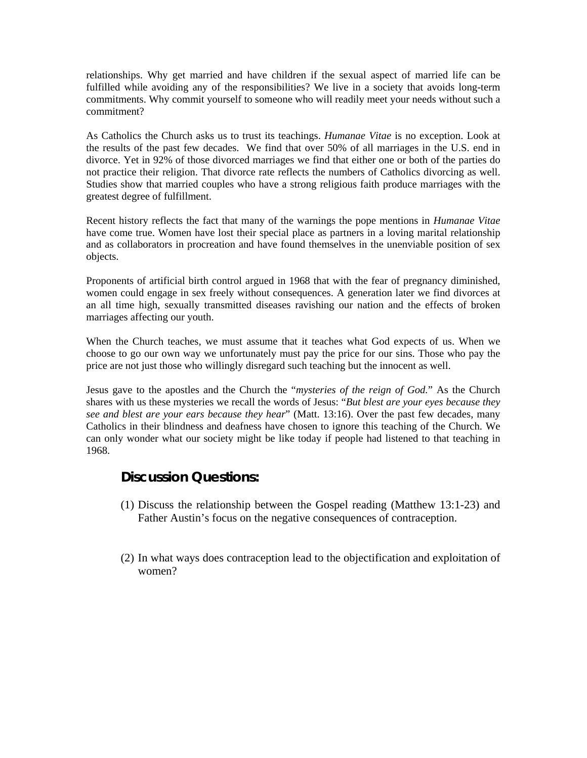relationships. Why get married and have children if the sexual aspect of married life can be fulfilled while avoiding any of the responsibilities? We live in a society that avoids long-term commitments. Why commit yourself to someone who will readily meet your needs without such a commitment?

As Catholics the Church asks us to trust its teachings. *Humanae Vitae* is no exception. Look at the results of the past few decades. We find that over 50% of all marriages in the U.S. end in divorce. Yet in 92% of those divorced marriages we find that either one or both of the parties do not practice their religion. That divorce rate reflects the numbers of Catholics divorcing as well. Studies show that married couples who have a strong religious faith produce marriages with the greatest degree of fulfillment.

Recent history reflects the fact that many of the warnings the pope mentions in *Humanae Vitae* have come true. Women have lost their special place as partners in a loving marital relationship and as collaborators in procreation and have found themselves in the unenviable position of sex objects.

Proponents of artificial birth control argued in 1968 that with the fear of pregnancy diminished, women could engage in sex freely without consequences. A generation later we find divorces at an all time high, sexually transmitted diseases ravishing our nation and the effects of broken marriages affecting our youth.

When the Church teaches, we must assume that it teaches what God expects of us. When we choose to go our own way we unfortunately must pay the price for our sins. Those who pay the price are not just those who willingly disregard such teaching but the innocent as well.

Jesus gave to the apostles and the Church the "*mysteries of the reign of God.*" As the Church shares with us these mysteries we recall the words of Jesus: "*But blest are your eyes because they see and blest are your ears because they hear*" (Matt. 13:16). Over the past few decades, many Catholics in their blindness and deafness have chosen to ignore this teaching of the Church. We can only wonder what our society might be like today if people had listened to that teaching in 1968.

### **Discussion Questions:**

- (1) Discuss the relationship between the Gospel reading (Matthew 13:1-23) and Father Austin's focus on the negative consequences of contraception.
- (2) In what ways does contraception lead to the objectification and exploitation of women?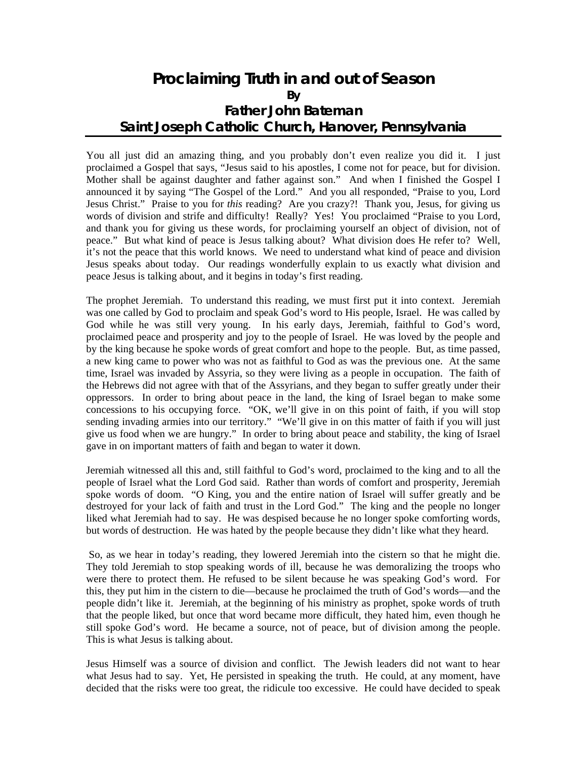## **Proclaiming Truth in and out of Season By Father John Bateman Saint Joseph Catholic Church, Hanover, Pennsylvania**

You all just did an amazing thing, and you probably don't even realize you did it. I just proclaimed a Gospel that says, "Jesus said to his apostles, I come not for peace, but for division. Mother shall be against daughter and father against son." And when I finished the Gospel I announced it by saying "The Gospel of the Lord." And you all responded, "Praise to you, Lord Jesus Christ." Praise to you for *this* reading? Are you crazy?! Thank you, Jesus, for giving us words of division and strife and difficulty! Really? Yes! You proclaimed "Praise to you Lord, and thank you for giving us these words, for proclaiming yourself an object of division, not of peace." But what kind of peace is Jesus talking about? What division does He refer to? Well, it's not the peace that this world knows. We need to understand what kind of peace and division Jesus speaks about today. Our readings wonderfully explain to us exactly what division and peace Jesus is talking about, and it begins in today's first reading.

The prophet Jeremiah. To understand this reading, we must first put it into context. Jeremiah was one called by God to proclaim and speak God's word to His people, Israel. He was called by God while he was still very young. In his early days, Jeremiah, faithful to God's word, proclaimed peace and prosperity and joy to the people of Israel. He was loved by the people and by the king because he spoke words of great comfort and hope to the people. But, as time passed, a new king came to power who was not as faithful to God as was the previous one. At the same time, Israel was invaded by Assyria, so they were living as a people in occupation. The faith of the Hebrews did not agree with that of the Assyrians, and they began to suffer greatly under their oppressors. In order to bring about peace in the land, the king of Israel began to make some concessions to his occupying force. "OK, we'll give in on this point of faith, if you will stop sending invading armies into our territory." "We'll give in on this matter of faith if you will just give us food when we are hungry." In order to bring about peace and stability, the king of Israel gave in on important matters of faith and began to water it down.

Jeremiah witnessed all this and, still faithful to God's word, proclaimed to the king and to all the people of Israel what the Lord God said. Rather than words of comfort and prosperity, Jeremiah spoke words of doom. "O King, you and the entire nation of Israel will suffer greatly and be destroyed for your lack of faith and trust in the Lord God." The king and the people no longer liked what Jeremiah had to say. He was despised because he no longer spoke comforting words, but words of destruction. He was hated by the people because they didn't like what they heard.

 So, as we hear in today's reading, they lowered Jeremiah into the cistern so that he might die. They told Jeremiah to stop speaking words of ill, because he was demoralizing the troops who were there to protect them. He refused to be silent because he was speaking God's word. For this, they put him in the cistern to die—because he proclaimed the truth of God's words—and the people didn't like it. Jeremiah, at the beginning of his ministry as prophet, spoke words of truth that the people liked, but once that word became more difficult, they hated him, even though he still spoke God's word. He became a source, not of peace, but of division among the people. This is what Jesus is talking about.

Jesus Himself was a source of division and conflict. The Jewish leaders did not want to hear what Jesus had to say. Yet, He persisted in speaking the truth. He could, at any moment, have decided that the risks were too great, the ridicule too excessive. He could have decided to speak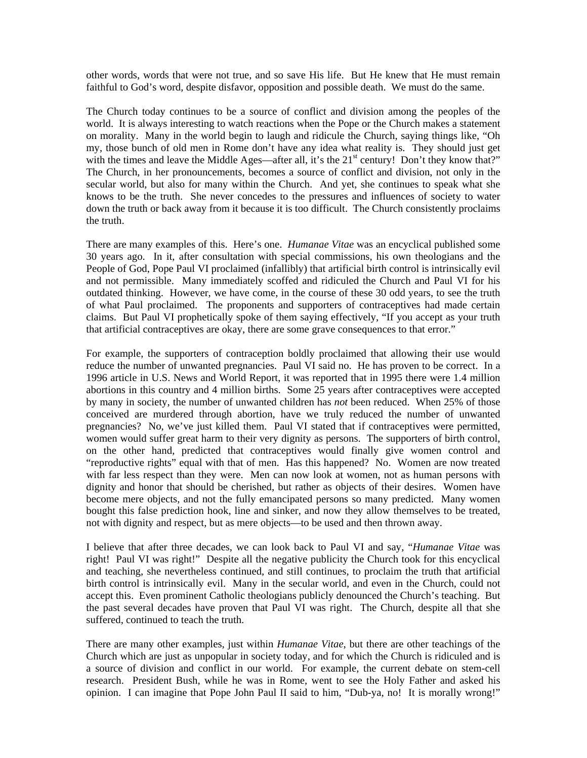other words, words that were not true, and so save His life. But He knew that He must remain faithful to God's word, despite disfavor, opposition and possible death. We must do the same.

The Church today continues to be a source of conflict and division among the peoples of the world. It is always interesting to watch reactions when the Pope or the Church makes a statement on morality. Many in the world begin to laugh and ridicule the Church, saying things like, "Oh my, those bunch of old men in Rome don't have any idea what reality is. They should just get with the times and leave the Middle Ages—after all, it's the 21<sup>st</sup> century! Don't they know that?" The Church, in her pronouncements, becomes a source of conflict and division, not only in the secular world, but also for many within the Church. And yet, she continues to speak what she knows to be the truth. She never concedes to the pressures and influences of society to water down the truth or back away from it because it is too difficult. The Church consistently proclaims the truth.

There are many examples of this. Here's one. *Humanae Vitae* was an encyclical published some 30 years ago. In it, after consultation with special commissions, his own theologians and the People of God, Pope Paul VI proclaimed (infallibly) that artificial birth control is intrinsically evil and not permissible. Many immediately scoffed and ridiculed the Church and Paul VI for his outdated thinking. However, we have come, in the course of these 30 odd years, to see the truth of what Paul proclaimed. The proponents and supporters of contraceptives had made certain claims. But Paul VI prophetically spoke of them saying effectively, "If you accept as your truth that artificial contraceptives are okay, there are some grave consequences to that error."

For example, the supporters of contraception boldly proclaimed that allowing their use would reduce the number of unwanted pregnancies. Paul VI said no. He has proven to be correct. In a 1996 article in U.S. News and World Report, it was reported that in 1995 there were 1.4 million abortions in this country and 4 million births. Some 25 years after contraceptives were accepted by many in society, the number of unwanted children has *not* been reduced. When 25% of those conceived are murdered through abortion, have we truly reduced the number of unwanted pregnancies? No, we've just killed them. Paul VI stated that if contraceptives were permitted, women would suffer great harm to their very dignity as persons. The supporters of birth control, on the other hand, predicted that contraceptives would finally give women control and "reproductive rights" equal with that of men. Has this happened? No. Women are now treated with far less respect than they were. Men can now look at women, not as human persons with dignity and honor that should be cherished, but rather as objects of their desires. Women have become mere objects, and not the fully emancipated persons so many predicted. Many women bought this false prediction hook, line and sinker, and now they allow themselves to be treated, not with dignity and respect, but as mere objects—to be used and then thrown away.

I believe that after three decades, we can look back to Paul VI and say, "*Humanae Vitae* was right! Paul VI was right!" Despite all the negative publicity the Church took for this encyclical and teaching, she nevertheless continued, and still continues, to proclaim the truth that artificial birth control is intrinsically evil. Many in the secular world, and even in the Church, could not accept this. Even prominent Catholic theologians publicly denounced the Church's teaching. But the past several decades have proven that Paul VI was right. The Church, despite all that she suffered, continued to teach the truth.

There are many other examples, just within *Humanae Vitae*, but there are other teachings of the Church which are just as unpopular in society today, and for which the Church is ridiculed and is a source of division and conflict in our world. For example, the current debate on stem-cell research. President Bush, while he was in Rome, went to see the Holy Father and asked his opinion. I can imagine that Pope John Paul II said to him, "Dub-ya, no! It is morally wrong!"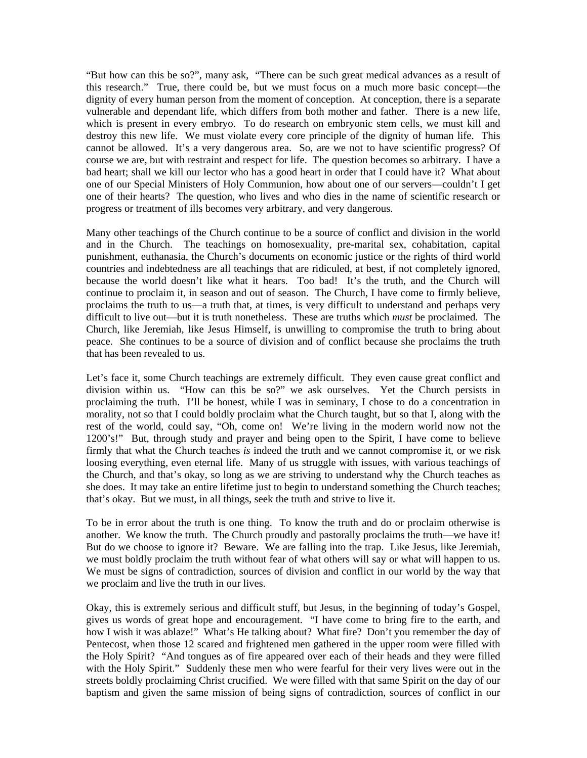"But how can this be so?", many ask, "There can be such great medical advances as a result of this research." True, there could be, but we must focus on a much more basic concept—the dignity of every human person from the moment of conception. At conception, there is a separate vulnerable and dependant life, which differs from both mother and father. There is a new life, which is present in every embryo. To do research on embryonic stem cells, we must kill and destroy this new life. We must violate every core principle of the dignity of human life. This cannot be allowed. It's a very dangerous area. So, are we not to have scientific progress? Of course we are, but with restraint and respect for life. The question becomes so arbitrary. I have a bad heart; shall we kill our lector who has a good heart in order that I could have it? What about one of our Special Ministers of Holy Communion, how about one of our servers—couldn't I get one of their hearts? The question, who lives and who dies in the name of scientific research or progress or treatment of ills becomes very arbitrary, and very dangerous.

Many other teachings of the Church continue to be a source of conflict and division in the world and in the Church. The teachings on homosexuality, pre-marital sex, cohabitation, capital punishment, euthanasia, the Church's documents on economic justice or the rights of third world countries and indebtedness are all teachings that are ridiculed, at best, if not completely ignored, because the world doesn't like what it hears. Too bad! It's the truth, and the Church will continue to proclaim it, in season and out of season. The Church, I have come to firmly believe, proclaims the truth to us—a truth that, at times, is very difficult to understand and perhaps very difficult to live out—but it is truth nonetheless. These are truths which *must* be proclaimed. The Church, like Jeremiah, like Jesus Himself, is unwilling to compromise the truth to bring about peace. She continues to be a source of division and of conflict because she proclaims the truth that has been revealed to us.

Let's face it, some Church teachings are extremely difficult. They even cause great conflict and division within us. "How can this be so?" we ask ourselves. Yet the Church persists in proclaiming the truth. I'll be honest, while I was in seminary, I chose to do a concentration in morality, not so that I could boldly proclaim what the Church taught, but so that I, along with the rest of the world, could say, "Oh, come on! We're living in the modern world now not the 1200's!" But, through study and prayer and being open to the Spirit, I have come to believe firmly that what the Church teaches *is* indeed the truth and we cannot compromise it, or we risk loosing everything, even eternal life. Many of us struggle with issues, with various teachings of the Church, and that's okay, so long as we are striving to understand why the Church teaches as she does. It may take an entire lifetime just to begin to understand something the Church teaches; that's okay. But we must, in all things, seek the truth and strive to live it.

To be in error about the truth is one thing. To know the truth and do or proclaim otherwise is another. We know the truth. The Church proudly and pastorally proclaims the truth—we have it! But do we choose to ignore it? Beware. We are falling into the trap. Like Jesus, like Jeremiah, we must boldly proclaim the truth without fear of what others will say or what will happen to us. We must be signs of contradiction, sources of division and conflict in our world by the way that we proclaim and live the truth in our lives.

Okay, this is extremely serious and difficult stuff, but Jesus, in the beginning of today's Gospel, gives us words of great hope and encouragement. "I have come to bring fire to the earth, and how I wish it was ablaze!" What's He talking about? What fire? Don't you remember the day of Pentecost, when those 12 scared and frightened men gathered in the upper room were filled with the Holy Spirit? "And tongues as of fire appeared over each of their heads and they were filled with the Holy Spirit." Suddenly these men who were fearful for their very lives were out in the streets boldly proclaiming Christ crucified. We were filled with that same Spirit on the day of our baptism and given the same mission of being signs of contradiction, sources of conflict in our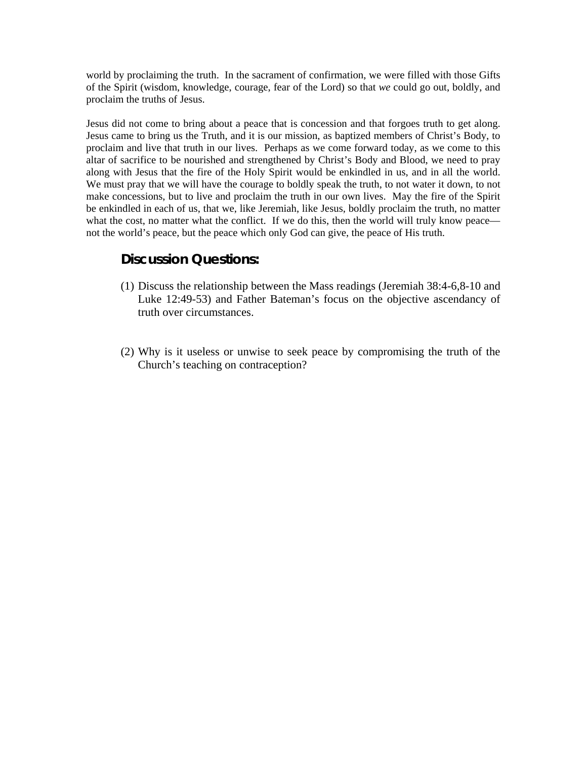world by proclaiming the truth. In the sacrament of confirmation, we were filled with those Gifts of the Spirit (wisdom, knowledge, courage, fear of the Lord) so that *we* could go out, boldly, and proclaim the truths of Jesus.

Jesus did not come to bring about a peace that is concession and that forgoes truth to get along. Jesus came to bring us the Truth, and it is our mission, as baptized members of Christ's Body, to proclaim and live that truth in our lives. Perhaps as we come forward today, as we come to this altar of sacrifice to be nourished and strengthened by Christ's Body and Blood, we need to pray along with Jesus that the fire of the Holy Spirit would be enkindled in us, and in all the world. We must pray that we will have the courage to boldly speak the truth, to not water it down, to not make concessions, but to live and proclaim the truth in our own lives. May the fire of the Spirit be enkindled in each of us, that we, like Jeremiah, like Jesus, boldly proclaim the truth, no matter what the cost, no matter what the conflict. If we do this, then the world will truly know peace not the world's peace, but the peace which only God can give, the peace of His truth.

## **Discussion Questions:**

- (1) Discuss the relationship between the Mass readings (Jeremiah 38:4-6,8-10 and Luke 12:49-53) and Father Bateman's focus on the objective ascendancy of truth over circumstances.
- (2) Why is it useless or unwise to seek peace by compromising the truth of the Church's teaching on contraception?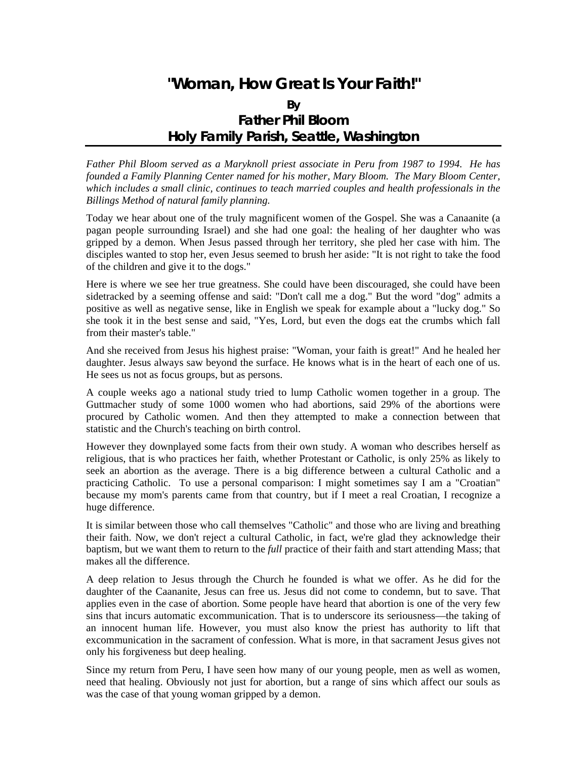# **"Woman, How Great Is Your Faith!"**

## **By Father Phil Bloom Holy Family Parish, Seattle, Washington**

*Father Phil Bloom served as a Maryknoll priest associate in Peru from 1987 to 1994. He has founded a Family Planning Center named for his mother, Mary Bloom. The Mary Bloom Center, which includes a small clinic, continues to teach married couples and health professionals in the Billings Method of natural family planning.* 

Today we hear about one of the truly magnificent women of the Gospel. She was a Canaanite (a pagan people surrounding Israel) and she had one goal: the healing of her daughter who was gripped by a demon. When Jesus passed through her territory, she pled her case with him. The disciples wanted to stop her, even Jesus seemed to brush her aside: "It is not right to take the food of the children and give it to the dogs."

Here is where we see her true greatness. She could have been discouraged, she could have been sidetracked by a seeming offense and said: "Don't call me a dog." But the word "dog" admits a positive as well as negative sense, like in English we speak for example about a "lucky dog." So she took it in the best sense and said, "Yes, Lord, but even the dogs eat the crumbs which fall from their master's table."

And she received from Jesus his highest praise: "Woman, your faith is great!" And he healed her daughter. Jesus always saw beyond the surface. He knows what is in the heart of each one of us. He sees us not as focus groups, but as persons.

A couple weeks ago a national study tried to lump Catholic women together in a group. The Guttmacher study of some 1000 women who had abortions, said 29% of the abortions were procured by Catholic women. And then they attempted to make a connection between that statistic and the Church's teaching on [birth control](http://www.manaco.simplenet.com/birthcontrol.html).

However they downplayed some facts from their own study. A woman who describes herself as religious, that is who practices her faith, whether Protestant or Catholic, is only 25% as likely to seek an abortion as the average. There is a big difference between a cultural Catholic and a practicing Catholic. To use a personal comparison: I might sometimes say I am a "Croatian" because my mom's parents came from that country, but if I meet a real Croatian, I recognize a huge difference.

It is similar between those who call themselves "Catholic" and those who are living and breathing their faith. Now, we don't reject a cultural Catholic, in fact, we're glad they acknowledge their baptism, but we want them to return to the *full* practice of their faith and start attending Mass; that makes all the difference.

A deep relation to Jesus through the Church he founded is what we offer. As he did for the daughter of the Caananite, Jesus can free us. Jesus did not come to condemn, but to save. That applies even in the case of [abortion](http://www.manaco.simplenet.com/pro-choice.html). Some people have heard that abortion is one of the very few sins that incurs automatic excommunication. That is to underscore its seriousness—the taking of an innocent human life. However, you must also know the priest has authority to lift that excommunication in the sacrament of [confession](http://www.manaco.simplenet.com/confession.html). What is more, in that sacrament Jesus gives not only his forgiveness but deep healing.

Since my return from Peru, I have seen how many of our young people, men as well as women, need that healing. Obviously not just for abortion, but a range of sins which affect our souls as was the case of that young woman gripped by a demon.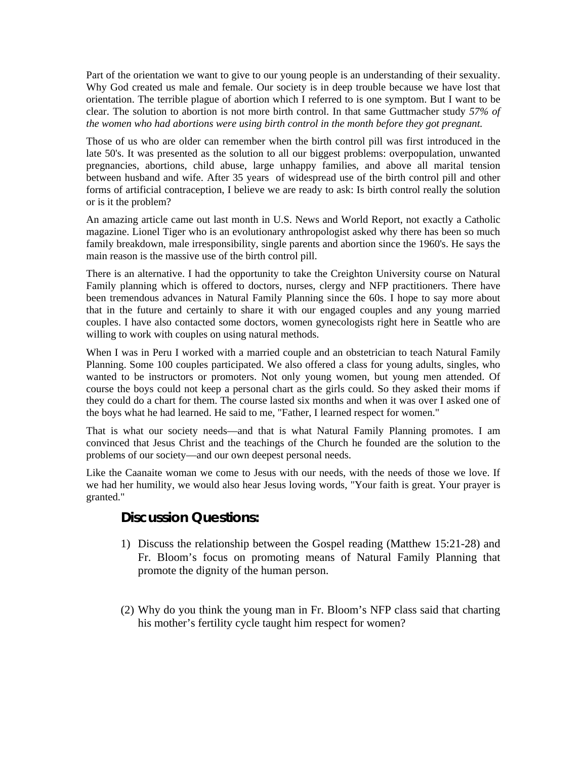Part of the orientation we want to give to our young people is an understanding of their sexuality. Why God created us male and female. Our society is in deep trouble because we have lost that orientation. The terrible plague of abortion which I referred to is one symptom. But I want to be clear. The solution to abortion is not more birth control. In that same Guttmacher study *57% of the women who had abortions were using birth control in the month before they got pregnant.* 

Those of us who are older can remember when the birth control pill was first introduced in the late 50's. It was presented as the solution to all our biggest problems: overpopulation, unwanted pregnancies, abortions, child abuse, large unhappy families, and above all marital tension between husband and wife. After 35 years of widespread use of the birth control pill and other forms of artificial contraception, I believe we are ready to ask: Is birth control really the solution or is it the problem?

An amazing article came out last month in U.S. News and World Report, not exactly a Catholic magazine. Lionel Tiger who is an evolutionary anthropologist asked why there has been so much family breakdown, male irresponsibility, single parents and abortion since the 1960's. He says the main reason is the massive use of the birth control pill.

There is an alternative. I had the opportunity to take the Creighton University course on Natural Family planning which is offered to doctors, nurses, clergy and NFP practitioners. There have been tremendous advances in Natural Family Planning since the 60s. I hope to say more about that in the future and certainly to share it with our engaged couples and any young married couples. I have also contacted some doctors, women gynecologists right here in Seattle who are willing to work with couples on using natural methods.

When I was in Peru I worked with a married couple and an obstetrician to teach Natural Family Planning. Some 100 couples participated. We also offered a class for young adults, singles, who wanted to be instructors or promoters. Not only young women, but young men attended. Of course the boys could not keep a personal chart as the girls could. So they asked their moms if they could do a chart for them. The course lasted six months and when it was over I asked one of the boys what he had learned. He said to me, "Father, I learned respect for women."

That is what our society needs—and that is what Natural Family Planning promotes. I am convinced that Jesus Christ and the teachings of the Church he founded are the solution to the problems of our society—and our own deepest personal needs.

Like the Caanaite woman we come to Jesus with our needs, with the needs of those we love. If we had her humility, we would also hear Jesus loving words, "Your faith is great. Your prayer is granted."

## **Discussion Questions:**

- 1) Discuss the relationship between the Gospel reading (Matthew 15:21-28) and Fr. Bloom's focus on promoting means of Natural Family Planning that promote the dignity of the human person.
- (2) Why do you think the young man in Fr. Bloom's NFP class said that charting his mother's fertility cycle taught him respect for women?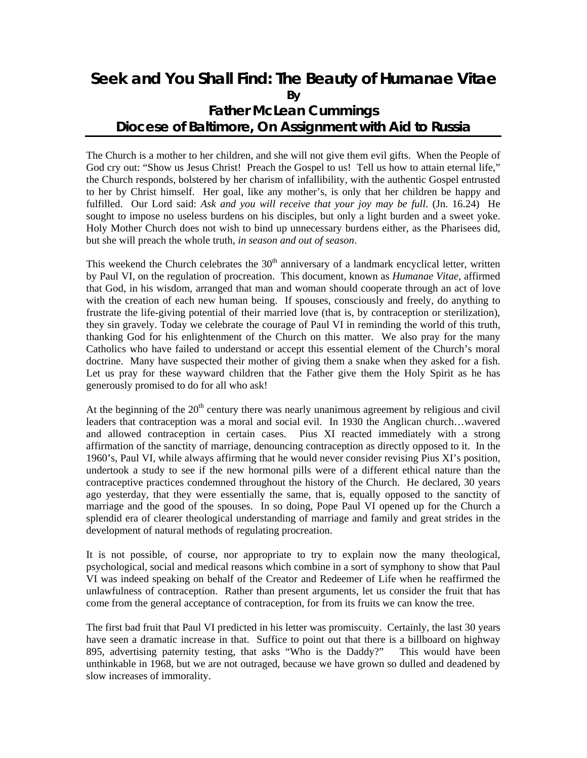# **Seek and You Shall Find: The Beauty of** *Humanae Vitae* **By Father McLean Cummings Diocese of Baltimore, On Assignment with** *Aid to Russia*

The Church is a mother to her children, and she will not give them evil gifts. When the People of God cry out: "Show us Jesus Christ! Preach the Gospel to us! Tell us how to attain eternal life," the Church responds, bolstered by her charism of infallibility, with the authentic Gospel entrusted to her by Christ himself. Her goal, like any mother's, is only that her children be happy and fulfilled. Our Lord said: *Ask and you will receive that your joy may be full*. (Jn. 16.24) He sought to impose no useless burdens on his disciples, but only a light burden and a sweet yoke. Holy Mother Church does not wish to bind up unnecessary burdens either, as the Pharisees did, but she will preach the whole truth, *in season and out of season*.

This weekend the Church celebrates the  $30<sup>th</sup>$  anniversary of a landmark encyclical letter, written by Paul VI, on the regulation of procreation. This document, known as *Humanae Vitae*, affirmed that God, in his wisdom, arranged that man and woman should cooperate through an act of love with the creation of each new human being. If spouses, consciously and freely, do anything to frustrate the life-giving potential of their married love (that is, by contraception or sterilization), they sin gravely. Today we celebrate the courage of Paul VI in reminding the world of this truth, thanking God for his enlightenment of the Church on this matter. We also pray for the many Catholics who have failed to understand or accept this essential element of the Church's moral doctrine. Many have suspected their mother of giving them a snake when they asked for a fish. Let us pray for these wayward children that the Father give them the Holy Spirit as he has generously promised to do for all who ask!

At the beginning of the  $20<sup>th</sup>$  century there was nearly unanimous agreement by religious and civil leaders that contraception was a moral and social evil. In 1930 the Anglican church…wavered and allowed contraception in certain cases. Pius XI reacted immediately with a strong affirmation of the sanctity of marriage, denouncing contraception as directly opposed to it. In the 1960's, Paul VI, while always affirming that he would never consider revising Pius XI's position, undertook a study to see if the new hormonal pills were of a different ethical nature than the contraceptive practices condemned throughout the history of the Church. He declared, 30 years ago yesterday, that they were essentially the same, that is, equally opposed to the sanctity of marriage and the good of the spouses. In so doing, Pope Paul VI opened up for the Church a splendid era of clearer theological understanding of marriage and family and great strides in the development of natural methods of regulating procreation.

It is not possible, of course, nor appropriate to try to explain now the many theological, psychological, social and medical reasons which combine in a sort of symphony to show that Paul VI was indeed speaking on behalf of the Creator and Redeemer of Life when he reaffirmed the unlawfulness of contraception. Rather than present arguments, let us consider the fruit that has come from the general acceptance of contraception, for from its fruits we can know the tree.

The first bad fruit that Paul VI predicted in his letter was promiscuity. Certainly, the last 30 years have seen a dramatic increase in that. Suffice to point out that there is a billboard on highway 895, advertising paternity testing, that asks "Who is the Daddy?" This would have been unthinkable in 1968, but we are not outraged, because we have grown so dulled and deadened by slow increases of immorality.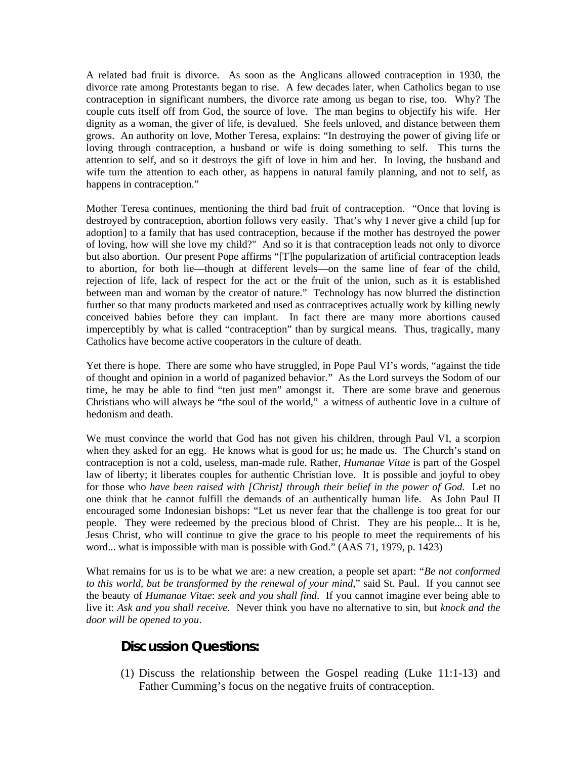A related bad fruit is divorce. As soon as the Anglicans allowed contraception in 1930, the divorce rate among Protestants began to rise. A few decades later, when Catholics began to use contraception in significant numbers, the divorce rate among us began to rise, too. Why? The couple cuts itself off from God, the source of love. The man begins to objectify his wife. Her dignity as a woman, the giver of life, is devalued. She feels unloved, and distance between them grows. An authority on love, Mother Teresa, explains: "In destroying the power of giving life or loving through contraception, a husband or wife is doing something to self. This turns the attention to self, and so it destroys the gift of love in him and her. In loving, the husband and wife turn the attention to each other, as happens in natural family planning, and not to self, as happens in contraception."

Mother Teresa continues, mentioning the third bad fruit of contraception. "Once that loving is destroyed by contraception, abortion follows very easily. That's why I never give a child [up for adoption] to a family that has used contraception, because if the mother has destroyed the power of loving, how will she love my child?" And so it is that contraception leads not only to divorce but also abortion. Our present Pope affirms "[T]he popularization of artificial contraception leads to abortion, for both lie—though at different levels—on the same line of fear of the child, rejection of life, lack of respect for the act or the fruit of the union, such as it is established between man and woman by the creator of nature." Technology has now blurred the distinction further so that many products marketed and used as contraceptives actually work by killing newly conceived babies before they can implant. In fact there are many more abortions caused imperceptibly by what is called "contraception" than by surgical means. Thus, tragically, many Catholics have become active cooperators in the culture of death.

Yet there is hope. There are some who have struggled, in Pope Paul VI's words, "against the tide of thought and opinion in a world of paganized behavior." As the Lord surveys the Sodom of our time, he may be able to find "ten just men" amongst it. There are some brave and generous Christians who will always be "the soul of the world," a witness of authentic love in a culture of hedonism and death.

We must convince the world that God has not given his children, through Paul VI, a scorpion when they asked for an egg. He knows what is good for us; he made us. The Church's stand on contraception is not a cold, useless, man-made rule. Rather, *Humanae Vitae* is part of the Gospel law of liberty; it liberates couples for authentic Christian love. It is possible and joyful to obey for those who *have been raised with [Christ] through their belief in the power of God.* Let no one think that he cannot fulfill the demands of an authentically human life. As John Paul II encouraged some Indonesian bishops: "Let us never fear that the challenge is too great for our people. They were redeemed by the precious blood of Christ. They are his people... It is he, Jesus Christ, who will continue to give the grace to his people to meet the requirements of his word... what is impossible with man is possible with God." (AAS 71, 1979, p. 1423)

What remains for us is to be what we are: a new creation, a people set apart: "*Be not conformed to this world, but be transformed by the renewal of your mind*," said St. Paul. If you cannot see the beauty of *Humanae Vitae*: *seek and you shall find*. If you cannot imagine ever being able to live it: *Ask and you shall receive*. Never think you have no alternative to sin, but *knock and the door will be opened to you*.

## **Discussion Questions:**

(1) Discuss the relationship between the Gospel reading (Luke 11:1-13) and Father Cumming's focus on the negative fruits of contraception.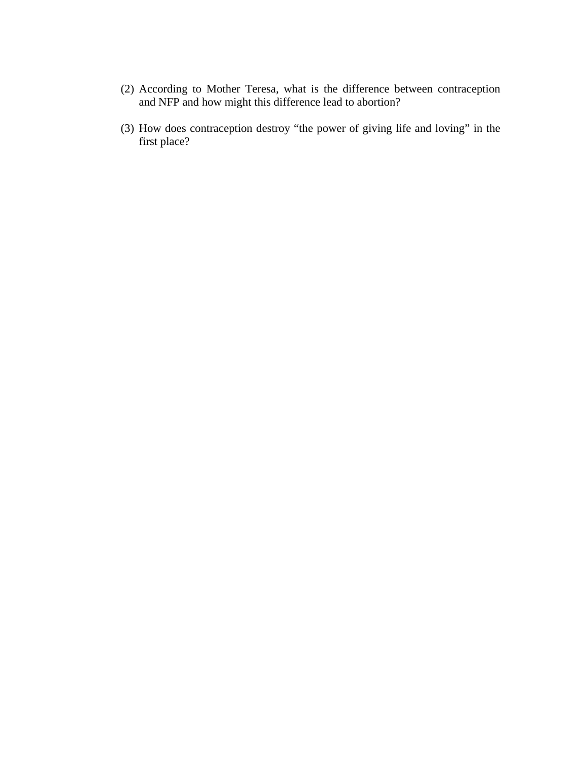- (2) According to Mother Teresa, what is the difference between contraception and NFP and how might this difference lead to abortion?
- (3) How does contraception destroy "the power of giving life and loving" in the first place?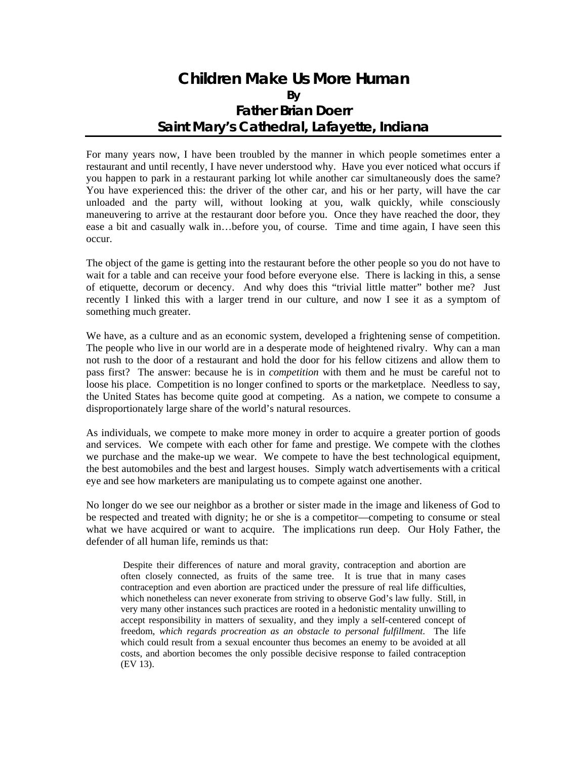## **Children Make Us More Human By Father Brian Doerr Saint Mary's Cathedral, Lafayette, Indiana**

For many years now, I have been troubled by the manner in which people sometimes enter a restaurant and until recently, I have never understood why. Have you ever noticed what occurs if you happen to park in a restaurant parking lot while another car simultaneously does the same? You have experienced this: the driver of the other car, and his or her party, will have the car unloaded and the party will, without looking at you, walk quickly, while consciously maneuvering to arrive at the restaurant door before you. Once they have reached the door, they ease a bit and casually walk in…before you, of course. Time and time again, I have seen this occur.

The object of the game is getting into the restaurant before the other people so you do not have to wait for a table and can receive your food before everyone else. There is lacking in this, a sense of etiquette, decorum or decency. And why does this "trivial little matter" bother me? Just recently I linked this with a larger trend in our culture, and now I see it as a symptom of something much greater.

We have, as a culture and as an economic system, developed a frightening sense of competition. The people who live in our world are in a desperate mode of heightened rivalry. Why can a man not rush to the door of a restaurant and hold the door for his fellow citizens and allow them to pass first? The answer: because he is in *competition* with them and he must be careful not to loose his place. Competition is no longer confined to sports or the marketplace. Needless to say, the United States has become quite good at competing. As a nation, we compete to consume a disproportionately large share of the world's natural resources.

As individuals, we compete to make more money in order to acquire a greater portion of goods and services. We compete with each other for fame and prestige. We compete with the clothes we purchase and the make-up we wear. We compete to have the best technological equipment, the best automobiles and the best and largest houses. Simply watch advertisements with a critical eye and see how marketers are manipulating us to compete against one another.

No longer do we see our neighbor as a brother or sister made in the image and likeness of God to be respected and treated with dignity; he or she is a competitor—competing to consume or steal what we have acquired or want to acquire. The implications run deep. Our Holy Father, the defender of all human life, reminds us that:

 Despite their differences of nature and moral gravity, contraception and abortion are often closely connected, as fruits of the same tree. It is true that in many cases contraception and even abortion are practiced under the pressure of real life difficulties, which nonetheless can never exonerate from striving to observe God's law fully. Still, in very many other instances such practices are rooted in a hedonistic mentality unwilling to accept responsibility in matters of sexuality, and they imply a self-centered concept of freedom, *which regards procreation as an obstacle to personal fulfillment*. The life which could result from a sexual encounter thus becomes an enemy to be avoided at all costs, and abortion becomes the only possible decisive response to failed contraception (EV 13).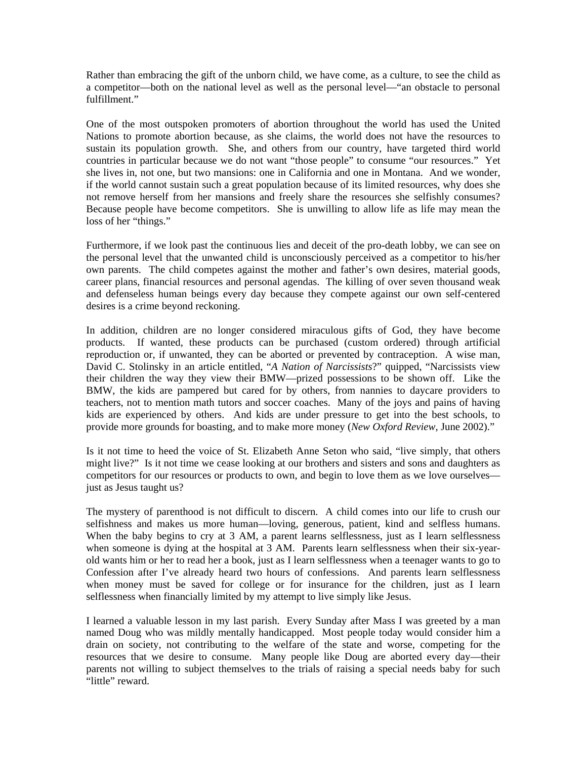Rather than embracing the gift of the unborn child, we have come, as a culture, to see the child as a competitor—both on the national level as well as the personal level—"an obstacle to personal fulfillment"

One of the most outspoken promoters of abortion throughout the world has used the United Nations to promote abortion because, as she claims, the world does not have the resources to sustain its population growth. She, and others from our country, have targeted third world countries in particular because we do not want "those people" to consume "our resources." Yet she lives in, not one, but two mansions: one in California and one in Montana. And we wonder, if the world cannot sustain such a great population because of its limited resources, why does she not remove herself from her mansions and freely share the resources she selfishly consumes? Because people have become competitors. She is unwilling to allow life as life may mean the loss of her "things."

Furthermore, if we look past the continuous lies and deceit of the pro-death lobby, we can see on the personal level that the unwanted child is unconsciously perceived as a competitor to his/her own parents. The child competes against the mother and father's own desires, material goods, career plans, financial resources and personal agendas. The killing of over seven thousand weak and defenseless human beings every day because they compete against our own self-centered desires is a crime beyond reckoning.

In addition, children are no longer considered miraculous gifts of God, they have become products. If wanted, these products can be purchased (custom ordered) through artificial reproduction or, if unwanted, they can be aborted or prevented by contraception. A wise man, David C. Stolinsky in an article entitled, "*A Nation of Narcissists*?" quipped, "Narcissists view their children the way they view their BMW—prized possessions to be shown off. Like the BMW, the kids are pampered but cared for by others, from nannies to daycare providers to teachers, not to mention math tutors and soccer coaches. Many of the joys and pains of having kids are experienced by others. And kids are under pressure to get into the best schools, to provide more grounds for boasting, and to make more money (*New Oxford Review*, June 2002)."

Is it not time to heed the voice of St. Elizabeth Anne Seton who said, "live simply, that others might live?" Is it not time we cease looking at our brothers and sisters and sons and daughters as competitors for our resources or products to own, and begin to love them as we love ourselves just as Jesus taught us?

The mystery of parenthood is not difficult to discern. A child comes into our life to crush our selfishness and makes us more human—loving, generous, patient, kind and selfless humans. When the baby begins to cry at 3 AM, a parent learns selflessness, just as I learn selflessness when someone is dying at the hospital at  $\overline{3}$  AM. Parents learn selflessness when their six-yearold wants him or her to read her a book, just as I learn selflessness when a teenager wants to go to Confession after I've already heard two hours of confessions. And parents learn selflessness when money must be saved for college or for insurance for the children, just as I learn selflessness when financially limited by my attempt to live simply like Jesus.

I learned a valuable lesson in my last parish. Every Sunday after Mass I was greeted by a man named Doug who was mildly mentally handicapped. Most people today would consider him a drain on society, not contributing to the welfare of the state and worse, competing for the resources that we desire to consume. Many people like Doug are aborted every day—their parents not willing to subject themselves to the trials of raising a special needs baby for such "little" reward.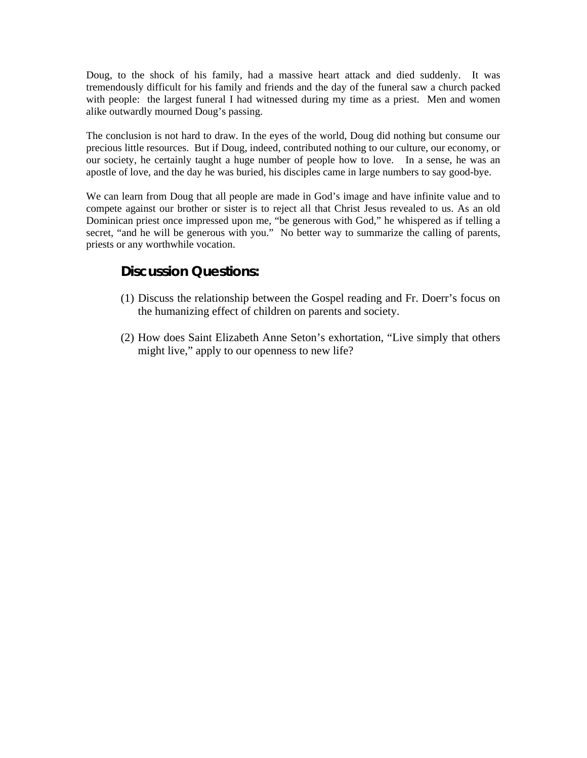Doug, to the shock of his family, had a massive heart attack and died suddenly. It was tremendously difficult for his family and friends and the day of the funeral saw a church packed with people: the largest funeral I had witnessed during my time as a priest. Men and women alike outwardly mourned Doug's passing.

The conclusion is not hard to draw. In the eyes of the world, Doug did nothing but consume our precious little resources. But if Doug, indeed, contributed nothing to our culture, our economy, or our society, he certainly taught a huge number of people how to love. In a sense, he was an apostle of love, and the day he was buried, his disciples came in large numbers to say good-bye.

We can learn from Doug that all people are made in God's image and have infinite value and to compete against our brother or sister is to reject all that Christ Jesus revealed to us. As an old Dominican priest once impressed upon me, "be generous with God," he whispered as if telling a secret, "and he will be generous with you." No better way to summarize the calling of parents, priests or any worthwhile vocation.

### **Discussion Questions:**

- (1) Discuss the relationship between the Gospel reading and Fr. Doerr's focus on the humanizing effect of children on parents and society.
- (2) How does Saint Elizabeth Anne Seton's exhortation, "Live simply that others might live," apply to our openness to new life?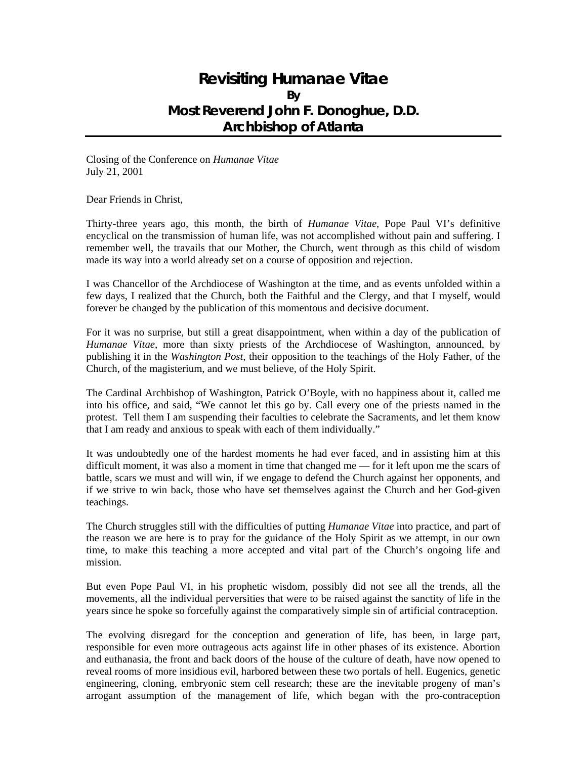## **Revisiting** *Humanae Vitae* **By Most Reverend John F. Donoghue, D.D. Archbishop of Atlanta**

Closing of the Conference on *Humanae Vitae* July 21, 2001

Dear Friends in Christ,

Thirty-three years ago, this month, the birth of *Humanae Vitae*, Pope Paul VI's definitive encyclical on the transmission of human life, was not accomplished without pain and suffering. I remember well, the travails that our Mother, the Church, went through as this child of wisdom made its way into a world already set on a course of opposition and rejection.

I was Chancellor of the Archdiocese of Washington at the time, and as events unfolded within a few days, I realized that the Church, both the Faithful and the Clergy, and that I myself, would forever be changed by the publication of this momentous and decisive document.

For it was no surprise, but still a great disappointment, when within a day of the publication of *Humanae Vitae*, more than sixty priests of the Archdiocese of Washington, announced, by publishing it in the *Washington Post*, their opposition to the teachings of the Holy Father, of the Church, of the magisterium, and we must believe, of the Holy Spirit.

The Cardinal Archbishop of Washington, Patrick O'Boyle, with no happiness about it, called me into his office, and said, "We cannot let this go by. Call every one of the priests named in the protest. Tell them I am suspending their faculties to celebrate the Sacraments, and let them know that I am ready and anxious to speak with each of them individually."

It was undoubtedly one of the hardest moments he had ever faced, and in assisting him at this difficult moment, it was also a moment in time that changed me — for it left upon me the scars of battle, scars we must and will win, if we engage to defend the Church against her opponents, and if we strive to win back, those who have set themselves against the Church and her God-given teachings.

The Church struggles still with the difficulties of putting *Humanae Vitae* into practice, and part of the reason we are here is to pray for the guidance of the Holy Spirit as we attempt, in our own time, to make this teaching a more accepted and vital part of the Church's ongoing life and mission.

But even Pope Paul VI, in his prophetic wisdom, possibly did not see all the trends, all the movements, all the individual perversities that were to be raised against the sanctity of life in the years since he spoke so forcefully against the comparatively simple sin of artificial contraception.

The evolving disregard for the conception and generation of life, has been, in large part, responsible for even more outrageous acts against life in other phases of its existence. Abortion and euthanasia, the front and back doors of the house of the culture of death, have now opened to reveal rooms of more insidious evil, harbored between these two portals of hell. Eugenics, genetic engineering, cloning, embryonic stem cell research; these are the inevitable progeny of man's arrogant assumption of the management of life, which began with the pro-contraception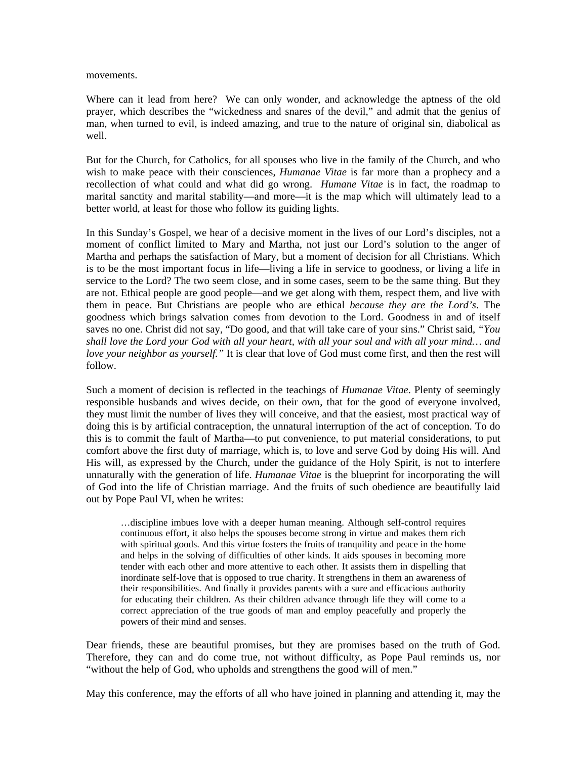movements.

Where can it lead from here? We can only wonder, and acknowledge the aptness of the old prayer, which describes the "wickedness and snares of the devil," and admit that the genius of man, when turned to evil, is indeed amazing, and true to the nature of original sin, diabolical as well.

But for the Church, for Catholics, for all spouses who live in the family of the Church, and who wish to make peace with their consciences, *Humanae Vitae* is far more than a prophecy and a recollection of what could and what did go wrong. *Humane Vitae* is in fact, the roadmap to marital sanctity and marital stability—and more—it is the map which will ultimately lead to a better world, at least for those who follow its guiding lights.

In this Sunday's Gospel, we hear of a decisive moment in the lives of our Lord's disciples, not a moment of conflict limited to Mary and Martha, not just our Lord's solution to the anger of Martha and perhaps the satisfaction of Mary, but a moment of decision for all Christians. Which is to be the most important focus in life—living a life in service to goodness, or living a life in service to the Lord? The two seem close, and in some cases, seem to be the same thing. But they are not. Ethical people are good people—and we get along with them, respect them, and live with them in peace. But Christians are people who are ethical *because they are the Lord's*. The goodness which brings salvation comes from devotion to the Lord. Goodness in and of itself saves no one. Christ did not say, "Do good, and that will take care of your sins." Christ said, *"You shall love the Lord your God with all your heart, with all your soul and with all your mind… and love your neighbor as yourself."* It is clear that love of God must come first, and then the rest will follow.

Such a moment of decision is reflected in the teachings of *Humanae Vitae*. Plenty of seemingly responsible husbands and wives decide, on their own, that for the good of everyone involved, they must limit the number of lives they will conceive, and that the easiest, most practical way of doing this is by artificial contraception, the unnatural interruption of the act of conception. To do this is to commit the fault of Martha—to put convenience, to put material considerations, to put comfort above the first duty of marriage, which is, to love and serve God by doing His will. And His will, as expressed by the Church, under the guidance of the Holy Spirit, is not to interfere unnaturally with the generation of life. *Humanae Vitae* is the blueprint for incorporating the will of God into the life of Christian marriage. And the fruits of such obedience are beautifully laid out by Pope Paul VI, when he writes:

…discipline imbues love with a deeper human meaning. Although self-control requires continuous effort, it also helps the spouses become strong in virtue and makes them rich with spiritual goods. And this virtue fosters the fruits of tranquility and peace in the home and helps in the solving of difficulties of other kinds. It aids spouses in becoming more tender with each other and more attentive to each other. It assists them in dispelling that inordinate self-love that is opposed to true charity. It strengthens in them an awareness of their responsibilities. And finally it provides parents with a sure and efficacious authority for educating their children. As their children advance through life they will come to a correct appreciation of the true goods of man and employ peacefully and properly the powers of their mind and senses.

Dear friends, these are beautiful promises, but they are promises based on the truth of God. Therefore, they can and do come true, not without difficulty, as Pope Paul reminds us, nor "without the help of God, who upholds and strengthens the good will of men."

May this conference, may the efforts of all who have joined in planning and attending it, may the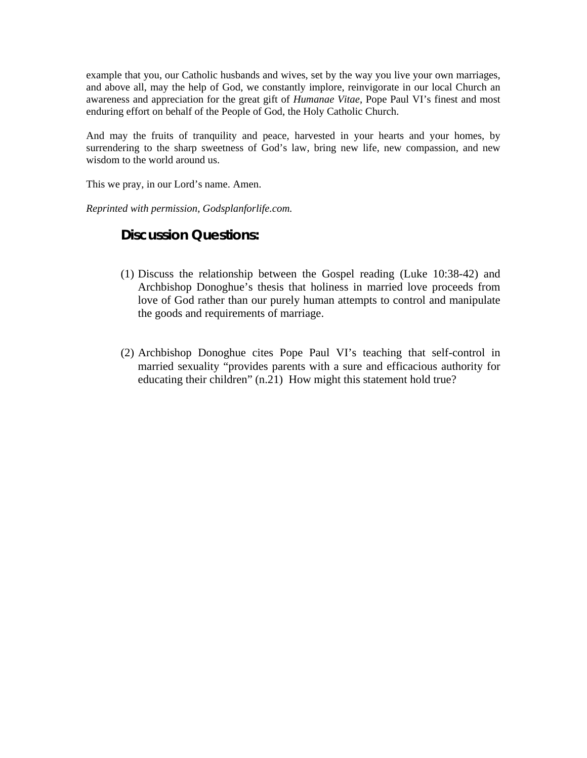example that you, our Catholic husbands and wives, set by the way you live your own marriages, and above all, may the help of God, we constantly implore, reinvigorate in our local Church an awareness and appreciation for the great gift of *Humanae Vitae*, Pope Paul VI's finest and most enduring effort on behalf of the People of God, the Holy Catholic Church.

And may the fruits of tranquility and peace, harvested in your hearts and your homes, by surrendering to the sharp sweetness of God's law, bring new life, new compassion, and new wisdom to the world around us.

This we pray, in our Lord's name. Amen.

*Reprinted with permission, Godsplanforlife.com.* 

### **Discussion Questions:**

- (1) Discuss the relationship between the Gospel reading (Luke 10:38-42) and Archbishop Donoghue's thesis that holiness in married love proceeds from love of God rather than our purely human attempts to control and manipulate the goods and requirements of marriage.
- (2) Archbishop Donoghue cites Pope Paul VI's teaching that self-control in married sexuality "provides parents with a sure and efficacious authority for educating their children" (n.21) How might this statement hold true?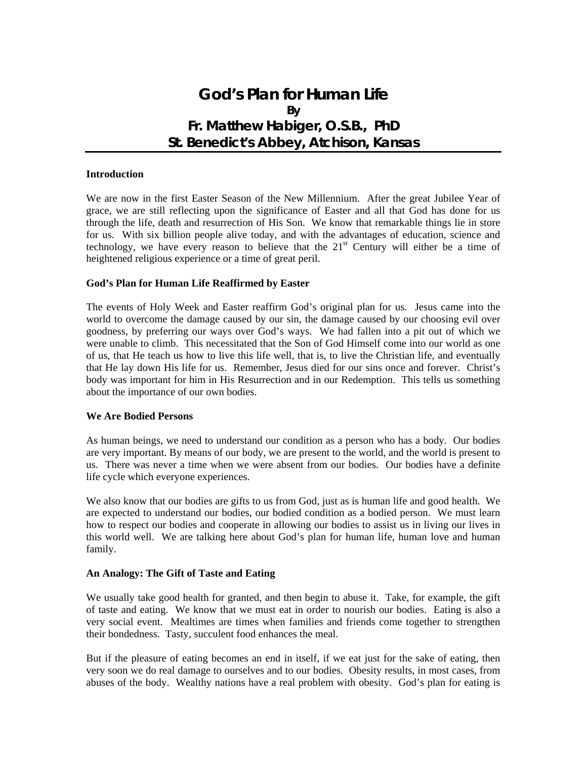## **God's Plan for Human Life By Fr. Matthew Habiger, O.S.B., PhD St. Benedict's Abbey, Atchison, Kansas**

#### **Introduction**

We are now in the first Easter Season of the New Millennium. After the great Jubilee Year of grace, we are still reflecting upon the significance of Easter and all that God has done for us through the life, death and resurrection of His Son. We know that remarkable things lie in store for us. With six billion people alive today, and with the advantages of education, science and technology, we have every reason to believe that the  $21<sup>st</sup>$  Century will either be a time of heightened religious experience or a time of great peril.

#### **God's Plan for Human Life Reaffirmed by Easter**

The events of Holy Week and Easter reaffirm God's original plan for us. Jesus came into the world to overcome the damage caused by our sin, the damage caused by our choosing evil over goodness, by preferring our ways over God's ways. We had fallen into a pit out of which we were unable to climb. This necessitated that the Son of God Himself come into our world as one of us, that He teach us how to live this life well, that is, to live the Christian life, and eventually that He lay down His life for us. Remember, Jesus died for our sins once and forever. Christ's body was important for him in His Resurrection and in our Redemption. This tells us something about the importance of our own bodies.

#### **We Are Bodied Persons**

As human beings, we need to understand our condition as a person who has a body. Our bodies are very important. By means of our body, we are present to the world, and the world is present to us. There was never a time when we were absent from our bodies. Our bodies have a definite life cycle which everyone experiences.

We also know that our bodies are gifts to us from God, just as is human life and good health. We are expected to understand our bodies, our bodied condition as a bodied person. We must learn how to respect our bodies and cooperate in allowing our bodies to assist us in living our lives in this world well. We are talking here about God's plan for human life, human love and human family.

#### **An Analogy: The Gift of Taste and Eating**

We usually take good health for granted, and then begin to abuse it. Take, for example, the gift of taste and eating. We know that we must eat in order to nourish our bodies. Eating is also a very social event. Mealtimes are times when families and friends come together to strengthen their bondedness. Tasty, succulent food enhances the meal.

But if the pleasure of eating becomes an end in itself, if we eat just for the sake of eating, then very soon we do real damage to ourselves and to our bodies. Obesity results, in most cases, from abuses of the body. Wealthy nations have a real problem with obesity. God's plan for eating is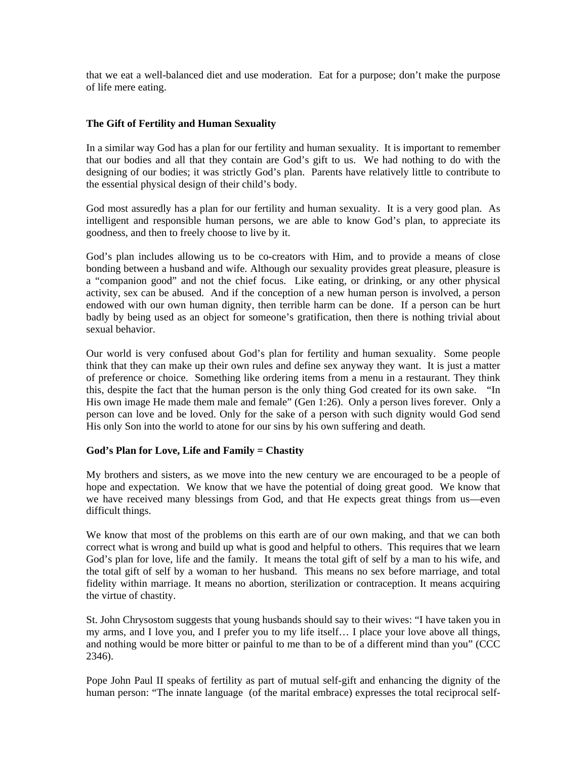that we eat a well-balanced diet and use moderation. Eat for a purpose; don't make the purpose of life mere eating.

#### **The Gift of Fertility and Human Sexuality**

In a similar way God has a plan for our fertility and human sexuality. It is important to remember that our bodies and all that they contain are God's gift to us. We had nothing to do with the designing of our bodies; it was strictly God's plan. Parents have relatively little to contribute to the essential physical design of their child's body.

God most assuredly has a plan for our fertility and human sexuality. It is a very good plan. As intelligent and responsible human persons, we are able to know God's plan, to appreciate its goodness, and then to freely choose to live by it.

God's plan includes allowing us to be co-creators with Him, and to provide a means of close bonding between a husband and wife. Although our sexuality provides great pleasure, pleasure is a "companion good" and not the chief focus. Like eating, or drinking, or any other physical activity, sex can be abused. And if the conception of a new human person is involved, a person endowed with our own human dignity, then terrible harm can be done. If a person can be hurt badly by being used as an object for someone's gratification, then there is nothing trivial about sexual behavior.

Our world is very confused about God's plan for fertility and human sexuality. Some people think that they can make up their own rules and define sex anyway they want. It is just a matter of preference or choice. Something like ordering items from a menu in a restaurant. They think this, despite the fact that the human person is the only thing God created for its own sake. "In His own image He made them male and female" (Gen 1:26). Only a person lives forever. Only a person can love and be loved. Only for the sake of a person with such dignity would God send His only Son into the world to atone for our sins by his own suffering and death.

#### **God's Plan for Love, Life and Family = Chastity**

My brothers and sisters, as we move into the new century we are encouraged to be a people of hope and expectation. We know that we have the potential of doing great good. We know that we have received many blessings from God, and that He expects great things from us—even difficult things.

We know that most of the problems on this earth are of our own making, and that we can both correct what is wrong and build up what is good and helpful to others. This requires that we learn God's plan for love, life and the family. It means the total gift of self by a man to his wife, and the total gift of self by a woman to her husband. This means no sex before marriage, and total fidelity within marriage. It means no abortion, sterilization or contraception. It means acquiring the virtue of chastity.

St. John Chrysostom suggests that young husbands should say to their wives: "I have taken you in my arms, and I love you, and I prefer you to my life itself… I place your love above all things, and nothing would be more bitter or painful to me than to be of a different mind than you" (CCC 2346).

Pope John Paul II speaks of fertility as part of mutual self-gift and enhancing the dignity of the human person: "The innate language (of the marital embrace) expresses the total reciprocal self-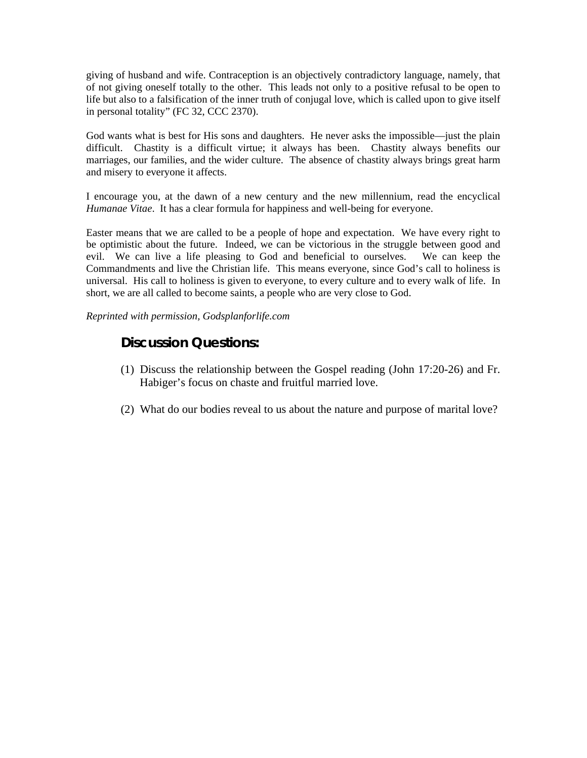giving of husband and wife. Contraception is an objectively contradictory language, namely, that of not giving oneself totally to the other. This leads not only to a positive refusal to be open to life but also to a falsification of the inner truth of conjugal love, which is called upon to give itself in personal totality" (FC 32, CCC 2370).

God wants what is best for His sons and daughters. He never asks the impossible—just the plain difficult. Chastity is a difficult virtue; it always has been. Chastity always benefits our marriages, our families, and the wider culture. The absence of chastity always brings great harm and misery to everyone it affects.

I encourage you, at the dawn of a new century and the new millennium, read the encyclical *Humanae Vitae*. It has a clear formula for happiness and well-being for everyone.

Easter means that we are called to be a people of hope and expectation. We have every right to be optimistic about the future. Indeed, we can be victorious in the struggle between good and evil. We can live a life pleasing to God and beneficial to ourselves. We can keep the Commandments and live the Christian life. This means everyone, since God's call to holiness is universal. His call to holiness is given to everyone, to every culture and to every walk of life. In short, we are all called to become saints, a people who are very close to God.

*Reprinted with permission, Godsplanforlife.com* 

### **Discussion Questions:**

- (1) Discuss the relationship between the Gospel reading (John 17:20-26) and Fr. Habiger's focus on chaste and fruitful married love.
- (2) What do our bodies reveal to us about the nature and purpose of marital love?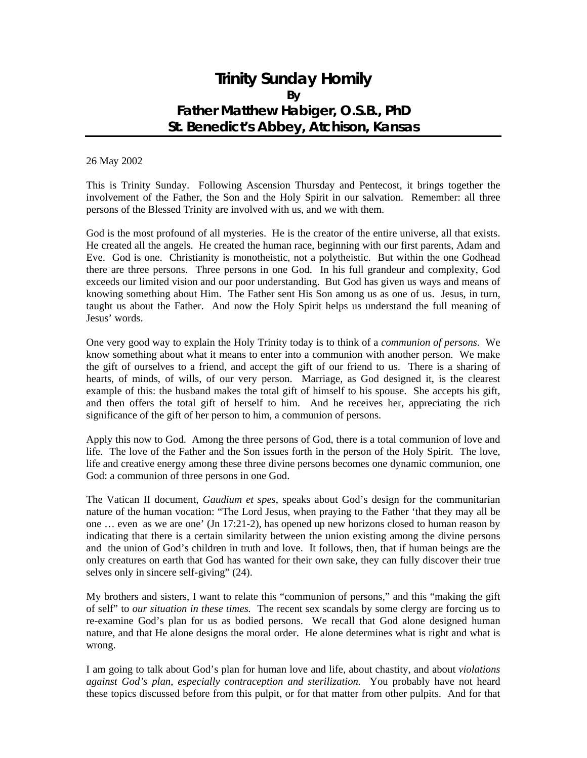## **Trinity Sunday Homily By Father Matthew Habiger, O.S.B., PhD St. Benedict's Abbey, Atchison, Kansas**

#### 26 May 2002

This is Trinity Sunday. Following Ascension Thursday and Pentecost, it brings together the involvement of the Father, the Son and the Holy Spirit in our salvation. Remember: all three persons of the Blessed Trinity are involved with us, and we with them.

God is the most profound of all mysteries. He is the creator of the entire universe, all that exists. He created all the angels. He created the human race, beginning with our first parents, Adam and Eve. God is one. Christianity is monotheistic, not a polytheistic. But within the one Godhead there are three persons. Three persons in one God. In his full grandeur and complexity, God exceeds our limited vision and our poor understanding. But God has given us ways and means of knowing something about Him. The Father sent His Son among us as one of us. Jesus, in turn, taught us about the Father. And now the Holy Spirit helps us understand the full meaning of Jesus' words.

One very good way to explain the Holy Trinity today is to think of a *communion of persons.* We know something about what it means to enter into a communion with another person. We make the gift of ourselves to a friend, and accept the gift of our friend to us. There is a sharing of hearts, of minds, of wills, of our very person. Marriage, as God designed it, is the clearest example of this: the husband makes the total gift of himself to his spouse. She accepts his gift, and then offers the total gift of herself to him. And he receives her, appreciating the rich significance of the gift of her person to him, a communion of persons.

Apply this now to God. Among the three persons of God, there is a total communion of love and life. The love of the Father and the Son issues forth in the person of the Holy Spirit. The love, life and creative energy among these three divine persons becomes one dynamic communion, one God: a communion of three persons in one God.

The Vatican II document, *Gaudium et spes*, speaks about God's design for the communitarian nature of the human vocation: "The Lord Jesus, when praying to the Father 'that they may all be one … even as we are one' (Jn 17:21-2), has opened up new horizons closed to human reason by indicating that there is a certain similarity between the union existing among the divine persons and the union of God's children in truth and love. It follows, then, that if human beings are the only creatures on earth that God has wanted for their own sake, they can fully discover their true selves only in sincere self-giving" (24).

My brothers and sisters, I want to relate this "communion of persons," and this "making the gift of self" to *our situation in these times.* The recent sex scandals by some clergy are forcing us to re-examine God's plan for us as bodied persons. We recall that God alone designed human nature, and that He alone designs the moral order. He alone determines what is right and what is wrong.

I am going to talk about God's plan for human love and life, about chastity, and about *violations against God's plan, especially contraception and sterilization.* You probably have not heard these topics discussed before from this pulpit, or for that matter from other pulpits. And for that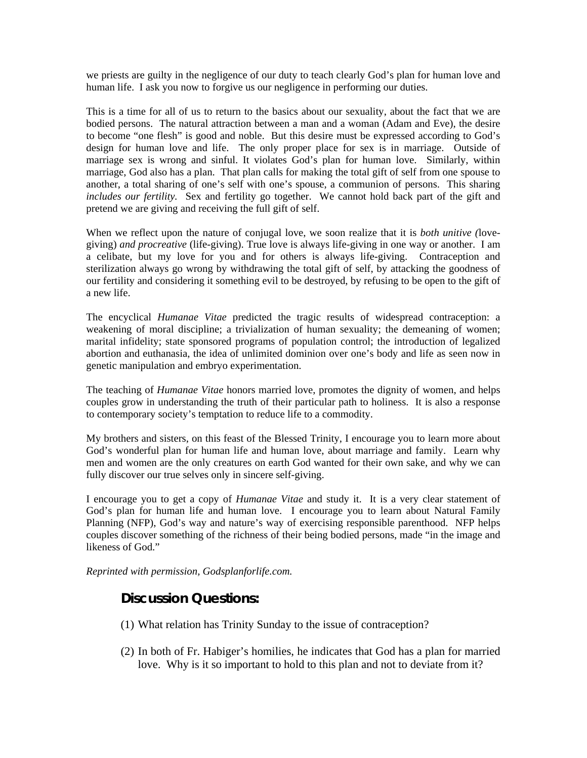we priests are guilty in the negligence of our duty to teach clearly God's plan for human love and human life. I ask you now to forgive us our negligence in performing our duties.

This is a time for all of us to return to the basics about our sexuality, about the fact that we are bodied persons. The natural attraction between a man and a woman (Adam and Eve), the desire to become "one flesh" is good and noble. But this desire must be expressed according to God's design for human love and life. The only proper place for sex is in marriage. Outside of marriage sex is wrong and sinful. It violates God's plan for human love. Similarly, within marriage, God also has a plan. That plan calls for making the total gift of self from one spouse to another, a total sharing of one's self with one's spouse, a communion of persons. This sharing *includes our fertility.* Sex and fertility go together. We cannot hold back part of the gift and pretend we are giving and receiving the full gift of self.

When we reflect upon the nature of conjugal love, we soon realize that it is *both unitive (*lovegiving) *and procreative* (life-giving). True love is always life-giving in one way or another. I am a celibate, but my love for you and for others is always life-giving. Contraception and sterilization always go wrong by withdrawing the total gift of self, by attacking the goodness of our fertility and considering it something evil to be destroyed, by refusing to be open to the gift of a new life.

The encyclical *Humanae Vitae* predicted the tragic results of widespread contraception: a weakening of moral discipline; a trivialization of human sexuality; the demeaning of women; marital infidelity; state sponsored programs of population control; the introduction of legalized abortion and euthanasia, the idea of unlimited dominion over one's body and life as seen now in genetic manipulation and embryo experimentation.

The teaching of *Humanae Vitae* honors married love, promotes the dignity of women, and helps couples grow in understanding the truth of their particular path to holiness. It is also a response to contemporary society's temptation to reduce life to a commodity.

My brothers and sisters, on this feast of the Blessed Trinity, I encourage you to learn more about God's wonderful plan for human life and human love, about marriage and family. Learn why men and women are the only creatures on earth God wanted for their own sake, and why we can fully discover our true selves only in sincere self-giving.

I encourage you to get a copy of *Humanae Vitae* and study it. It is a very clear statement of God's plan for human life and human love. I encourage you to learn about Natural Family Planning (NFP), God's way and nature's way of exercising responsible parenthood. NFP helps couples discover something of the richness of their being bodied persons, made "in the image and likeness of God."

*Reprinted with permission, Godsplanforlife.com.* 

### **Discussion Questions:**

- (1) What relation has Trinity Sunday to the issue of contraception?
- (2) In both of Fr. Habiger's homilies, he indicates that God has a plan for married love. Why is it so important to hold to this plan and not to deviate from it?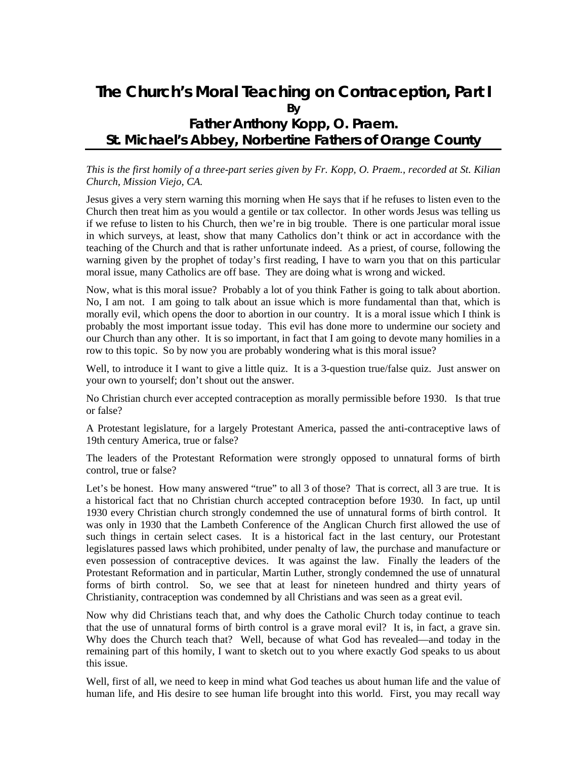## **The Church's Moral Teaching on Contraception, Part I By Father Anthony Kopp, O. Praem. St. Michael's Abbey, Norbertine Fathers of Orange County**

#### *This is the first homily of a three-part series given by Fr. Kopp, O. Praem., recorded at St. Kilian Church, Mission Viejo, CA.*

Jesus gives a very stern warning this morning when He says that if he refuses to listen even to the Church then treat him as you would a gentile or tax collector. In other words Jesus was telling us if we refuse to listen to his Church, then we're in big trouble. There is one particular moral issue in which surveys, at least, show that many Catholics don't think or act in accordance with the teaching of the Church and that is rather unfortunate indeed. As a priest, of course, following the warning given by the prophet of today's first reading, I have to warn you that on this particular moral issue, many Catholics are off base. They are doing what is wrong and wicked.

Now, what is this moral issue? Probably a lot of you think Father is going to talk about abortion. No, I am not. I am going to talk about an issue which is more fundamental than that, which is morally evil, which opens the door to abortion in our country. It is a moral issue which I think is probably the most important issue today. This evil has done more to undermine our society and our Church than any other. It is so important, in fact that I am going to devote many homilies in a row to this topic. So by now you are probably wondering what is this moral issue?

Well, to introduce it I want to give a little quiz. It is a 3-question true/false quiz. Just answer on your own to yourself; don't shout out the answer.

No Christian church ever accepted contraception as morally permissible before 1930. Is that true or false?

A Protestant legislature, for a largely Protestant America, passed the anti-contraceptive laws of 19th century America, true or false?

The leaders of the Protestant Reformation were strongly opposed to unnatural forms of birth control, true or false?

Let's be honest. How many answered "true" to all 3 of those? That is correct, all 3 are true. It is a historical fact that no Christian church accepted contraception before 1930. In fact, up until 1930 every Christian church strongly condemned the use of unnatural forms of birth control. It was only in 1930 that the Lambeth Conference of the Anglican Church first allowed the use of such things in certain select cases. It is a historical fact in the last century, our Protestant legislatures passed laws which prohibited, under penalty of law, the purchase and manufacture or even possession of contraceptive devices. It was against the law. Finally the leaders of the Protestant Reformation and in particular, Martin Luther, strongly condemned the use of unnatural forms of birth control. So, we see that at least for nineteen hundred and thirty years of Christianity, contraception was condemned by all Christians and was seen as a great evil.

Now why did Christians teach that, and why does the Catholic Church today continue to teach that the use of unnatural forms of birth control is a grave moral evil? It is, in fact, a grave sin. Why does the Church teach that? Well, because of what God has revealed—and today in the remaining part of this homily, I want to sketch out to you where exactly God speaks to us about this issue.

Well, first of all, we need to keep in mind what God teaches us about human life and the value of human life, and His desire to see human life brought into this world. First, you may recall way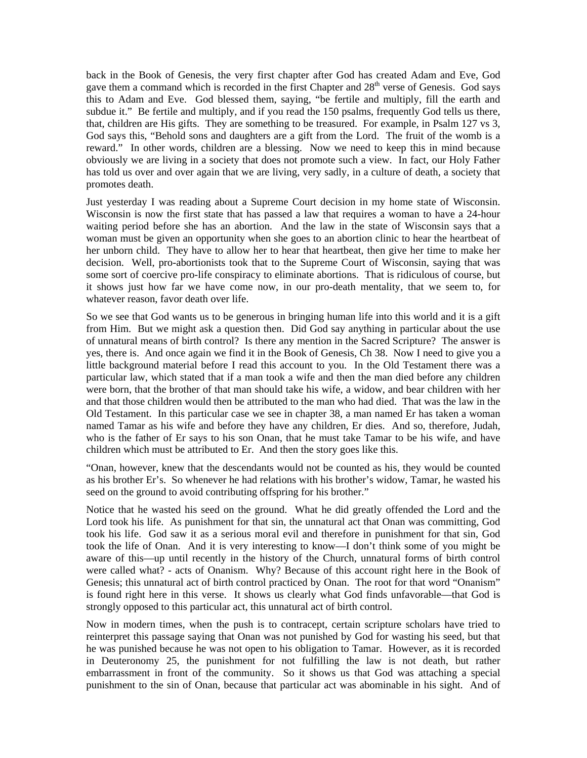back in the Book of Genesis, the very first chapter after God has created Adam and Eve, God gave them a command which is recorded in the first Chapter and  $28<sup>th</sup>$  verse of Genesis. God says this to Adam and Eve. God blessed them, saying, "be fertile and multiply, fill the earth and subdue it." Be fertile and multiply, and if you read the 150 psalms, frequently God tells us there, that, children are His gifts. They are something to be treasured. For example, in Psalm 127 vs 3, God says this, "Behold sons and daughters are a gift from the Lord. The fruit of the womb is a reward." In other words, children are a blessing. Now we need to keep this in mind because obviously we are living in a society that does not promote such a view. In fact, our Holy Father has told us over and over again that we are living, very sadly, in a culture of death, a society that promotes death.

Just yesterday I was reading about a Supreme Court decision in my home state of Wisconsin. Wisconsin is now the first state that has passed a law that requires a woman to have a 24-hour waiting period before she has an abortion. And the law in the state of Wisconsin says that a woman must be given an opportunity when she goes to an abortion clinic to hear the heartbeat of her unborn child. They have to allow her to hear that heartbeat, then give her time to make her decision. Well, pro-abortionists took that to the Supreme Court of Wisconsin, saying that was some sort of coercive pro-life conspiracy to eliminate abortions. That is ridiculous of course, but it shows just how far we have come now, in our pro-death mentality, that we seem to, for whatever reason, favor death over life.

So we see that God wants us to be generous in bringing human life into this world and it is a gift from Him. But we might ask a question then. Did God say anything in particular about the use of unnatural means of birth control? Is there any mention in the Sacred Scripture? The answer is yes, there is. And once again we find it in the Book of Genesis, Ch 38. Now I need to give you a little background material before I read this account to you. In the Old Testament there was a particular law, which stated that if a man took a wife and then the man died before any children were born, that the brother of that man should take his wife, a widow, and bear children with her and that those children would then be attributed to the man who had died. That was the law in the Old Testament. In this particular case we see in chapter 38, a man named Er has taken a woman named Tamar as his wife and before they have any children, Er dies. And so, therefore, Judah, who is the father of Er says to his son Onan, that he must take Tamar to be his wife, and have children which must be attributed to Er. And then the story goes like this.

"Onan, however, knew that the descendants would not be counted as his, they would be counted as his brother Er's. So whenever he had relations with his brother's widow, Tamar, he wasted his seed on the ground to avoid contributing offspring for his brother."

Notice that he wasted his seed on the ground. What he did greatly offended the Lord and the Lord took his life. As punishment for that sin, the unnatural act that Onan was committing, God took his life. God saw it as a serious moral evil and therefore in punishment for that sin, God took the life of Onan. And it is very interesting to know—I don't think some of you might be aware of this—up until recently in the history of the Church, unnatural forms of birth control were called what? - acts of Onanism. Why? Because of this account right here in the Book of Genesis; this unnatural act of birth control practiced by Onan. The root for that word "Onanism" is found right here in this verse. It shows us clearly what God finds unfavorable—that God is strongly opposed to this particular act, this unnatural act of birth control.

Now in modern times, when the push is to contracept, certain scripture scholars have tried to reinterpret this passage saying that Onan was not punished by God for wasting his seed, but that he was punished because he was not open to his obligation to Tamar. However, as it is recorded in Deuteronomy 25, the punishment for not fulfilling the law is not death, but rather embarrassment in front of the community. So it shows us that God was attaching a special punishment to the sin of Onan, because that particular act was abominable in his sight. And of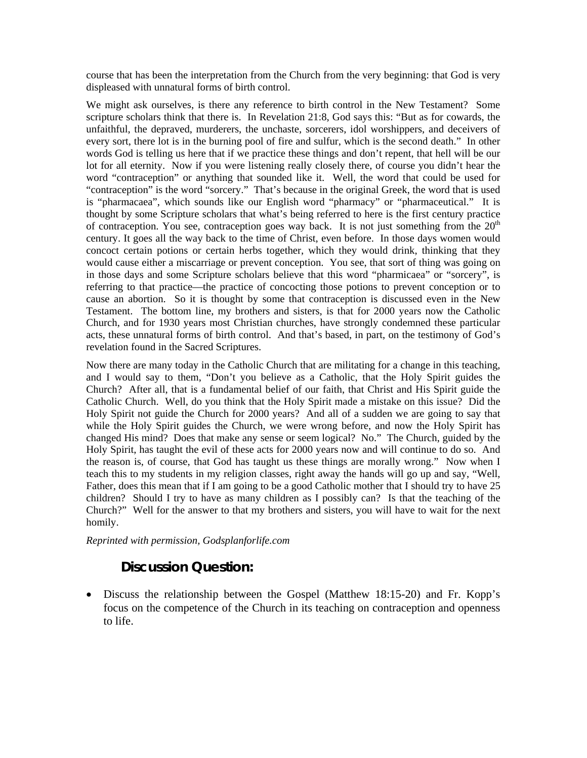course that has been the interpretation from the Church from the very beginning: that God is very displeased with unnatural forms of birth control.

We might ask ourselves, is there any reference to birth control in the New Testament? Some scripture scholars think that there is. In Revelation 21:8, God says this: "But as for cowards, the unfaithful, the depraved, murderers, the unchaste, sorcerers, idol worshippers, and deceivers of every sort, there lot is in the burning pool of fire and sulfur, which is the second death." In other words God is telling us here that if we practice these things and don't repent, that hell will be our lot for all eternity. Now if you were listening really closely there, of course you didn't hear the word "contraception" or anything that sounded like it. Well, the word that could be used for "contraception" is the word "sorcery." That's because in the original Greek, the word that is used is "pharmacaea", which sounds like our English word "pharmacy" or "pharmaceutical." It is thought by some Scripture scholars that what's being referred to here is the first century practice of contraception. You see, contraception goes way back. It is not just something from the  $20<sup>th</sup>$ century. It goes all the way back to the time of Christ, even before. In those days women would concoct certain potions or certain herbs together, which they would drink, thinking that they would cause either a miscarriage or prevent conception. You see, that sort of thing was going on in those days and some Scripture scholars believe that this word "pharmicaea" or "sorcery", is referring to that practice—the practice of concocting those potions to prevent conception or to cause an abortion. So it is thought by some that contraception is discussed even in the New Testament. The bottom line, my brothers and sisters, is that for 2000 years now the Catholic Church, and for 1930 years most Christian churches, have strongly condemned these particular acts, these unnatural forms of birth control. And that's based, in part, on the testimony of God's revelation found in the Sacred Scriptures.

Now there are many today in the Catholic Church that are militating for a change in this teaching, and I would say to them, "Don't you believe as a Catholic, that the Holy Spirit guides the Church? After all, that is a fundamental belief of our faith, that Christ and His Spirit guide the Catholic Church. Well, do you think that the Holy Spirit made a mistake on this issue? Did the Holy Spirit not guide the Church for 2000 years? And all of a sudden we are going to say that while the Holy Spirit guides the Church, we were wrong before, and now the Holy Spirit has changed His mind? Does that make any sense or seem logical? No." The Church, guided by the Holy Spirit, has taught the evil of these acts for 2000 years now and will continue to do so. And the reason is, of course, that God has taught us these things are morally wrong." Now when I teach this to my students in my religion classes, right away the hands will go up and say, "Well, Father, does this mean that if I am going to be a good Catholic mother that I should try to have 25 children? Should I try to have as many children as I possibly can? Is that the teaching of the Church?" Well for the answer to that my brothers and sisters, you will have to wait for the next homily.

*Reprinted with permission, Godsplanforlife.com* 

### **Discussion Question:**

• Discuss the relationship between the Gospel (Matthew 18:15-20) and Fr. Kopp's focus on the competence of the Church in its teaching on contraception and openness to life.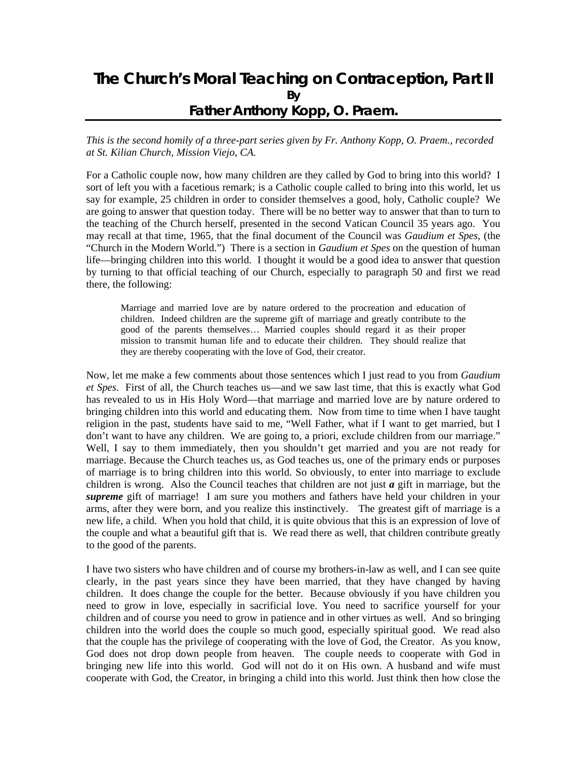## **The Church's Moral Teaching on Contraception, Part II By Father Anthony Kopp, O. Praem.**

*This is the second homily of a three-part series given by Fr. Anthony Kopp, O. Praem., recorded at St. Kilian Church, Mission Viejo, CA.*

For a Catholic couple now, how many children are they called by God to bring into this world? I sort of left you with a facetious remark; is a Catholic couple called to bring into this world, let us say for example, 25 children in order to consider themselves a good, holy, Catholic couple? We are going to answer that question today. There will be no better way to answer that than to turn to the teaching of the Church herself, presented in the second Vatican Council 35 years ago. You may recall at that time, 1965, that the final document of the Council was *Gaudium et Spes*, (the "Church in the Modern World.") There is a section in *Gaudium et Spes* on the question of human life—bringing children into this world. I thought it would be a good idea to answer that question by turning to that official teaching of our Church, especially to paragraph 50 and first we read there, the following:

Marriage and married love are by nature ordered to the procreation and education of children. Indeed children are the supreme gift of marriage and greatly contribute to the good of the parents themselves… Married couples should regard it as their proper mission to transmit human life and to educate their children. They should realize that they are thereby cooperating with the love of God, their creator.

Now, let me make a few comments about those sentences which I just read to you from *Gaudium et Spes*. First of all, the Church teaches us—and we saw last time, that this is exactly what God has revealed to us in His Holy Word—that marriage and married love are by nature ordered to bringing children into this world and educating them. Now from time to time when I have taught religion in the past, students have said to me, "Well Father, what if I want to get married, but I don't want to have any children. We are going to, a priori, exclude children from our marriage." Well, I say to them immediately, then you shouldn't get married and you are not ready for marriage. Because the Church teaches us, as God teaches us, one of the primary ends or purposes of marriage is to bring children into this world. So obviously, to enter into marriage to exclude children is wrong. Also the Council teaches that children are not just  $a$  gift in marriage, but the *supreme* gift of marriage! I am sure you mothers and fathers have held your children in your arms, after they were born, and you realize this instinctively. The greatest gift of marriage is a new life, a child. When you hold that child, it is quite obvious that this is an expression of love of the couple and what a beautiful gift that is. We read there as well, that children contribute greatly to the good of the parents.

I have two sisters who have children and of course my brothers-in-law as well, and I can see quite clearly, in the past years since they have been married, that they have changed by having children. It does change the couple for the better. Because obviously if you have children you need to grow in love, especially in sacrificial love. You need to sacrifice yourself for your children and of course you need to grow in patience and in other virtues as well. And so bringing children into the world does the couple so much good, especially spiritual good. We read also that the couple has the privilege of cooperating with the love of God, the Creator. As you know, God does not drop down people from heaven. The couple needs to cooperate with God in bringing new life into this world. God will not do it on His own. A husband and wife must cooperate with God, the Creator, in bringing a child into this world. Just think then how close the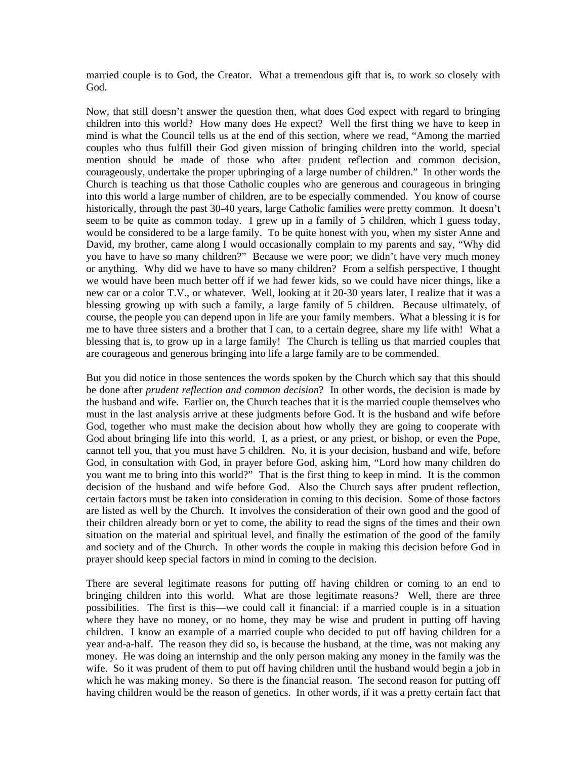married couple is to God, the Creator. What a tremendous gift that is, to work so closely with God.

Now, that still doesn't answer the question then, what does God expect with regard to bringing children into this world? How many does He expect? Well the first thing we have to keep in mind is what the Council tells us at the end of this section, where we read, "Among the married couples who thus fulfill their God given mission of bringing children into the world, special mention should be made of those who after prudent reflection and common decision, courageously, undertake the proper upbringing of a large number of children." In other words the Church is teaching us that those Catholic couples who are generous and courageous in bringing into this world a large number of children, are to be especially commended. You know of course historically, through the past 30-40 years, large Catholic families were pretty common. It doesn't seem to be quite as common today. I grew up in a family of 5 children, which I guess today, would be considered to be a large family. To be quite honest with you, when my sister Anne and David, my brother, came along I would occasionally complain to my parents and say, "Why did you have to have so many children?" Because we were poor; we didn't have very much money or anything. Why did we have to have so many children? From a selfish perspective, I thought we would have been much better off if we had fewer kids, so we could have nicer things, like a new car or a color T.V., or whatever. Well, looking at it 20-30 years later, I realize that it was a blessing growing up with such a family, a large family of 5 children. Because ultimately, of course, the people you can depend upon in life are your family members. What a blessing it is for me to have three sisters and a brother that I can, to a certain degree, share my life with! What a blessing that is, to grow up in a large family! The Church is telling us that married couples that are courageous and generous bringing into life a large family are to be commended.

But you did notice in those sentences the words spoken by the Church which say that this should be done after *prudent reflection and common decision*? In other words, the decision is made by the husband and wife. Earlier on, the Church teaches that it is the married couple themselves who must in the last analysis arrive at these judgments before God. It is the husband and wife before God, together who must make the decision about how wholly they are going to cooperate with God about bringing life into this world. I, as a priest, or any priest, or bishop, or even the Pope, cannot tell you, that you must have 5 children. No, it is your decision, husband and wife, before God, in consultation with God, in prayer before God, asking him, "Lord how many children do you want me to bring into this world?" That is the first thing to keep in mind. It is the common decision of the husband and wife before God. Also the Church says after prudent reflection, certain factors must be taken into consideration in coming to this decision. Some of those factors are listed as well by the Church. It involves the consideration of their own good and the good of their children already born or yet to come, the ability to read the signs of the times and their own situation on the material and spiritual level, and finally the estimation of the good of the family and society and of the Church. In other words the couple in making this decision before God in prayer should keep special factors in mind in coming to the decision.

There are several legitimate reasons for putting off having children or coming to an end to bringing children into this world. What are those legitimate reasons? Well, there are three possibilities. The first is this—we could call it financial: if a married couple is in a situation where they have no money, or no home, they may be wise and prudent in putting off having children. I know an example of a married couple who decided to put off having children for a year and-a-half. The reason they did so, is because the husband, at the time, was not making any money. He was doing an internship and the only person making any money in the family was the wife. So it was prudent of them to put off having children until the husband would begin a job in which he was making money. So there is the financial reason. The second reason for putting off having children would be the reason of genetics. In other words, if it was a pretty certain fact that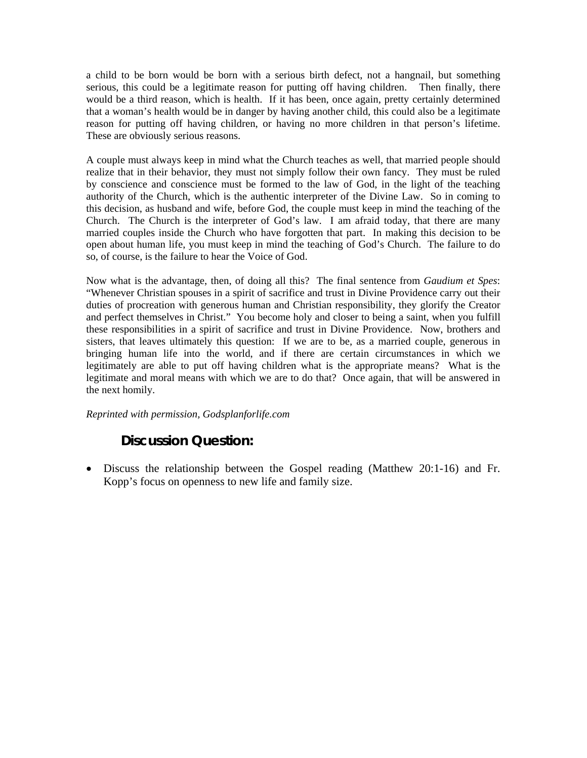a child to be born would be born with a serious birth defect, not a hangnail, but something serious, this could be a legitimate reason for putting off having children. Then finally, there would be a third reason, which is health. If it has been, once again, pretty certainly determined that a woman's health would be in danger by having another child, this could also be a legitimate reason for putting off having children, or having no more children in that person's lifetime. These are obviously serious reasons.

A couple must always keep in mind what the Church teaches as well, that married people should realize that in their behavior, they must not simply follow their own fancy. They must be ruled by conscience and conscience must be formed to the law of God, in the light of the teaching authority of the Church, which is the authentic interpreter of the Divine Law. So in coming to this decision, as husband and wife, before God, the couple must keep in mind the teaching of the Church. The Church is the interpreter of God's law. I am afraid today, that there are many married couples inside the Church who have forgotten that part. In making this decision to be open about human life, you must keep in mind the teaching of God's Church. The failure to do so, of course, is the failure to hear the Voice of God.

Now what is the advantage, then, of doing all this? The final sentence from *Gaudium et Spes*: "Whenever Christian spouses in a spirit of sacrifice and trust in Divine Providence carry out their duties of procreation with generous human and Christian responsibility, they glorify the Creator and perfect themselves in Christ." You become holy and closer to being a saint, when you fulfill these responsibilities in a spirit of sacrifice and trust in Divine Providence. Now, brothers and sisters, that leaves ultimately this question: If we are to be, as a married couple, generous in bringing human life into the world, and if there are certain circumstances in which we legitimately are able to put off having children what is the appropriate means? What is the legitimate and moral means with which we are to do that? Once again, that will be answered in the next homily.

#### *Reprinted with permission, Godsplanforlife.com*

### **Discussion Question:**

• Discuss the relationship between the Gospel reading (Matthew 20:1-16) and Fr. Kopp's focus on openness to new life and family size.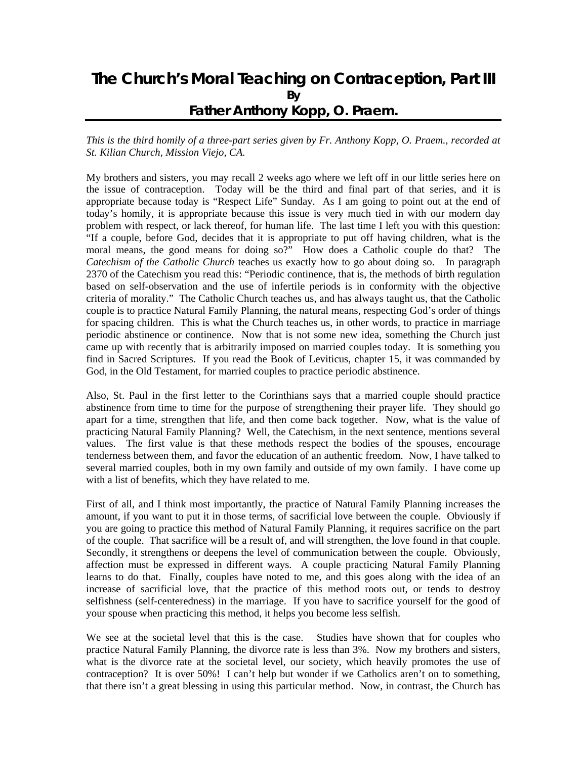## **The Church's Moral Teaching on Contraception, Part III By Father Anthony Kopp, O. Praem.**

#### *This is the third homily of a three-part series given by Fr. Anthony Kopp, O. Praem., recorded at St. Kilian Church, Mission Viejo, CA.*

My brothers and sisters, you may recall 2 weeks ago where we left off in our little series here on the issue of contraception. Today will be the third and final part of that series, and it is appropriate because today is "Respect Life" Sunday. As I am going to point out at the end of today's homily, it is appropriate because this issue is very much tied in with our modern day problem with respect, or lack thereof, for human life. The last time I left you with this question: "If a couple, before God, decides that it is appropriate to put off having children, what is the moral means, the good means for doing so?" How does a Catholic couple do that? The *Catechism of the Catholic Church* teaches us exactly how to go about doing so. In paragraph 2370 of the Catechism you read this: "Periodic continence, that is, the methods of birth regulation based on self-observation and the use of infertile periods is in conformity with the objective criteria of morality." The Catholic Church teaches us, and has always taught us, that the Catholic couple is to practice Natural Family Planning, the natural means, respecting God's order of things for spacing children. This is what the Church teaches us, in other words, to practice in marriage periodic abstinence or continence. Now that is not some new idea, something the Church just came up with recently that is arbitrarily imposed on married couples today. It is something you find in Sacred Scriptures. If you read the Book of Leviticus, chapter 15, it was commanded by God, in the Old Testament, for married couples to practice periodic abstinence.

Also, St. Paul in the first letter to the Corinthians says that a married couple should practice abstinence from time to time for the purpose of strengthening their prayer life. They should go apart for a time, strengthen that life, and then come back together. Now, what is the value of practicing Natural Family Planning? Well, the Catechism, in the next sentence, mentions several values. The first value is that these methods respect the bodies of the spouses, encourage tenderness between them, and favor the education of an authentic freedom. Now, I have talked to several married couples, both in my own family and outside of my own family. I have come up with a list of benefits, which they have related to me.

First of all, and I think most importantly, the practice of Natural Family Planning increases the amount, if you want to put it in those terms, of sacrificial love between the couple. Obviously if you are going to practice this method of Natural Family Planning, it requires sacrifice on the part of the couple. That sacrifice will be a result of, and will strengthen, the love found in that couple. Secondly, it strengthens or deepens the level of communication between the couple. Obviously, affection must be expressed in different ways. A couple practicing Natural Family Planning learns to do that. Finally, couples have noted to me, and this goes along with the idea of an increase of sacrificial love, that the practice of this method roots out, or tends to destroy selfishness (self-centeredness) in the marriage. If you have to sacrifice yourself for the good of your spouse when practicing this method, it helps you become less selfish.

We see at the societal level that this is the case. Studies have shown that for couples who practice Natural Family Planning, the divorce rate is less than 3%. Now my brothers and sisters, what is the divorce rate at the societal level, our society, which heavily promotes the use of contraception? It is over 50%! I can't help but wonder if we Catholics aren't on to something, that there isn't a great blessing in using this particular method. Now, in contrast, the Church has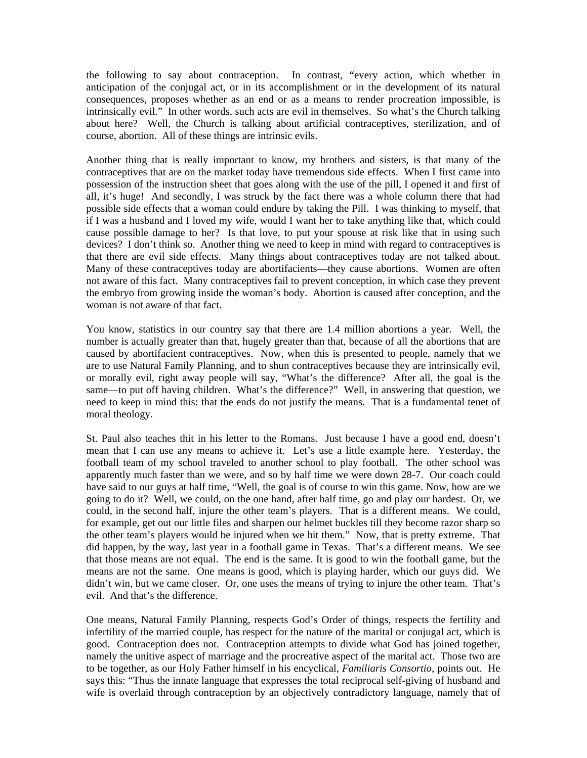the following to say about contraception. In contrast, "every action, which whether in anticipation of the conjugal act, or in its accomplishment or in the development of its natural consequences, proposes whether as an end or as a means to render procreation impossible, is intrinsically evil." In other words, such acts are evil in themselves. So what's the Church talking about here? Well, the Church is talking about artificial contraceptives, sterilization, and of course, abortion. All of these things are intrinsic evils.

Another thing that is really important to know, my brothers and sisters, is that many of the contraceptives that are on the market today have tremendous side effects. When I first came into possession of the instruction sheet that goes along with the use of the pill, I opened it and first of all, it's huge! And secondly, I was struck by the fact there was a whole column there that had possible side effects that a woman could endure by taking the Pill. I was thinking to myself, that if I was a husband and I loved my wife, would I want her to take anything like that, which could cause possible damage to her? Is that love, to put your spouse at risk like that in using such devices? I don't think so. Another thing we need to keep in mind with regard to contraceptives is that there are evil side effects. Many things about contraceptives today are not talked about. Many of these contraceptives today are abortifacients—they cause abortions. Women are often not aware of this fact. Many contraceptives fail to prevent conception, in which case they prevent the embryo from growing inside the woman's body. Abortion is caused after conception, and the woman is not aware of that fact.

You know, statistics in our country say that there are 1.4 million abortions a year. Well, the number is actually greater than that, hugely greater than that, because of all the abortions that are caused by abortifacient contraceptives. Now, when this is presented to people, namely that we are to use Natural Family Planning, and to shun contraceptives because they are intrinsically evil, or morally evil, right away people will say, "What's the difference? After all, the goal is the same—to put off having children. What's the difference?" Well, in answering that question, we need to keep in mind this: that the ends do not justify the means. That is a fundamental tenet of moral theology.

St. Paul also teaches thit in his letter to the Romans. Just because I have a good end, doesn't mean that I can use any means to achieve it. Let's use a little example here. Yesterday, the football team of my school traveled to another school to play football. The other school was apparently much faster than we were, and so by half time we were down 28-7. Our coach could have said to our guys at half time, "Well, the goal is of course to win this game. Now, how are we going to do it? Well, we could, on the one hand, after half time, go and play our hardest. Or, we could, in the second half, injure the other team's players. That is a different means. We could, for example, get out our little files and sharpen our helmet buckles till they become razor sharp so the other team's players would be injured when we hit them." Now, that is pretty extreme. That did happen, by the way, last year in a football game in Texas. That's a different means. We see that those means are not equal. The end is the same. It is good to win the football game, but the means are not the same. One means is good, which is playing harder, which our guys did. We didn't win, but we came closer. Or, one uses the means of trying to injure the other team. That's evil. And that's the difference.

One means, Natural Family Planning, respects God's Order of things, respects the fertility and infertility of the married couple, has respect for the nature of the marital or conjugal act, which is good. Contraception does not. Contraception attempts to divide what God has joined together, namely the unitive aspect of marriage and the procreative aspect of the marital act. Those two are to be together, as our Holy Father himself in his encyclical, *Familiaris Consortio*, points out. He says this: "Thus the innate language that expresses the total reciprocal self-giving of husband and wife is overlaid through contraception by an objectively contradictory language, namely that of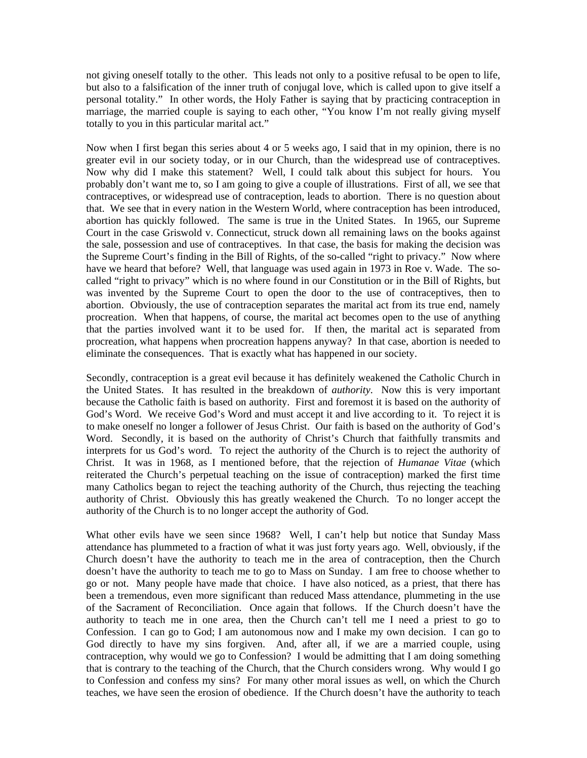not giving oneself totally to the other. This leads not only to a positive refusal to be open to life, but also to a falsification of the inner truth of conjugal love, which is called upon to give itself a personal totality." In other words, the Holy Father is saying that by practicing contraception in marriage, the married couple is saying to each other, "You know I'm not really giving myself totally to you in this particular marital act."

Now when I first began this series about 4 or 5 weeks ago, I said that in my opinion, there is no greater evil in our society today, or in our Church, than the widespread use of contraceptives. Now why did I make this statement? Well, I could talk about this subject for hours. You probably don't want me to, so I am going to give a couple of illustrations. First of all, we see that contraceptives, or widespread use of contraception, leads to abortion. There is no question about that. We see that in every nation in the Western World, where contraception has been introduced, abortion has quickly followed. The same is true in the United States. In 1965, our Supreme Court in the case Griswold v. Connecticut, struck down all remaining laws on the books against the sale, possession and use of contraceptives. In that case, the basis for making the decision was the Supreme Court's finding in the Bill of Rights, of the so-called "right to privacy." Now where have we heard that before? Well, that language was used again in 1973 in Roe v. Wade. The socalled "right to privacy" which is no where found in our Constitution or in the Bill of Rights, but was invented by the Supreme Court to open the door to the use of contraceptives, then to abortion. Obviously, the use of contraception separates the marital act from its true end, namely procreation. When that happens, of course, the marital act becomes open to the use of anything that the parties involved want it to be used for. If then, the marital act is separated from procreation, what happens when procreation happens anyway? In that case, abortion is needed to eliminate the consequences. That is exactly what has happened in our society.

Secondly, contraception is a great evil because it has definitely weakened the Catholic Church in the United States. It has resulted in the breakdown of *authority*. Now this is very important because the Catholic faith is based on authority. First and foremost it is based on the authority of God's Word. We receive God's Word and must accept it and live according to it. To reject it is to make oneself no longer a follower of Jesus Christ. Our faith is based on the authority of God's Word. Secondly, it is based on the authority of Christ's Church that faithfully transmits and interprets for us God's word. To reject the authority of the Church is to reject the authority of Christ. It was in 1968, as I mentioned before, that the rejection of *Humanae Vitae* (which reiterated the Church's perpetual teaching on the issue of contraception) marked the first time many Catholics began to reject the teaching authority of the Church, thus rejecting the teaching authority of Christ. Obviously this has greatly weakened the Church. To no longer accept the authority of the Church is to no longer accept the authority of God.

What other evils have we seen since 1968? Well, I can't help but notice that Sunday Mass attendance has plummeted to a fraction of what it was just forty years ago. Well, obviously, if the Church doesn't have the authority to teach me in the area of contraception, then the Church doesn't have the authority to teach me to go to Mass on Sunday. I am free to choose whether to go or not. Many people have made that choice. I have also noticed, as a priest, that there has been a tremendous, even more significant than reduced Mass attendance, plummeting in the use of the Sacrament of Reconciliation. Once again that follows. If the Church doesn't have the authority to teach me in one area, then the Church can't tell me I need a priest to go to Confession. I can go to God; I am autonomous now and I make my own decision. I can go to God directly to have my sins forgiven. And, after all, if we are a married couple, using contraception, why would we go to Confession? I would be admitting that I am doing something that is contrary to the teaching of the Church, that the Church considers wrong. Why would I go to Confession and confess my sins? For many other moral issues as well, on which the Church teaches, we have seen the erosion of obedience. If the Church doesn't have the authority to teach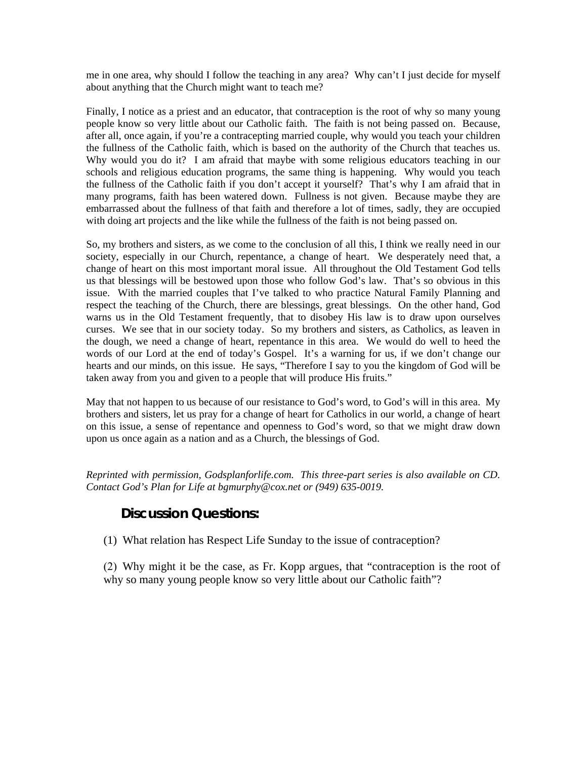me in one area, why should I follow the teaching in any area? Why can't I just decide for myself about anything that the Church might want to teach me?

Finally, I notice as a priest and an educator, that contraception is the root of why so many young people know so very little about our Catholic faith. The faith is not being passed on. Because, after all, once again, if you're a contracepting married couple, why would you teach your children the fullness of the Catholic faith, which is based on the authority of the Church that teaches us. Why would you do it? I am afraid that maybe with some religious educators teaching in our schools and religious education programs, the same thing is happening. Why would you teach the fullness of the Catholic faith if you don't accept it yourself? That's why I am afraid that in many programs, faith has been watered down. Fullness is not given. Because maybe they are embarrassed about the fullness of that faith and therefore a lot of times, sadly, they are occupied with doing art projects and the like while the fullness of the faith is not being passed on.

So, my brothers and sisters, as we come to the conclusion of all this, I think we really need in our society, especially in our Church, repentance, a change of heart. We desperately need that, a change of heart on this most important moral issue. All throughout the Old Testament God tells us that blessings will be bestowed upon those who follow God's law. That's so obvious in this issue. With the married couples that I've talked to who practice Natural Family Planning and respect the teaching of the Church, there are blessings, great blessings. On the other hand, God warns us in the Old Testament frequently, that to disobey His law is to draw upon ourselves curses. We see that in our society today. So my brothers and sisters, as Catholics, as leaven in the dough, we need a change of heart, repentance in this area. We would do well to heed the words of our Lord at the end of today's Gospel. It's a warning for us, if we don't change our hearts and our minds, on this issue. He says, "Therefore I say to you the kingdom of God will be taken away from you and given to a people that will produce His fruits."

May that not happen to us because of our resistance to God's word, to God's will in this area. My brothers and sisters, let us pray for a change of heart for Catholics in our world, a change of heart on this issue, a sense of repentance and openness to God's word, so that we might draw down upon us once again as a nation and as a Church, the blessings of God.

*Reprinted with permission, Godsplanforlife.com. This three-part series is also available on CD. Contact God's Plan for Life at bgmurphy@cox.net or (949) 635-0019.* 

### **Discussion Questions:**

(1) What relation has Respect Life Sunday to the issue of contraception?

 (2) Why might it be the case, as Fr. Kopp argues, that "contraception is the root of why so many young people know so very little about our Catholic faith"?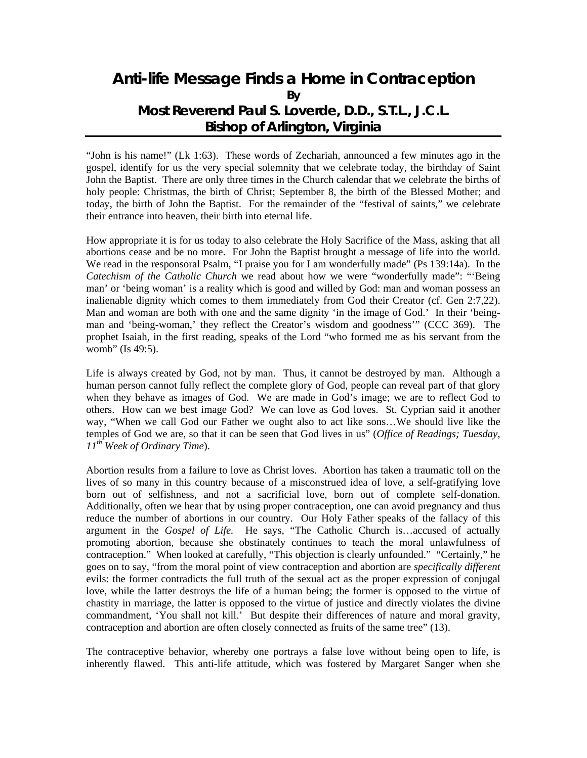## **Anti-life Message Finds a Home in Contraception By Most Reverend Paul S. Loverde, D.D., S.T.L., J.C.L. Bishop of Arlington, Virginia**

"John is his name!" (Lk 1:63). These words of Zechariah, announced a few minutes ago in the gospel, identify for us the very special solemnity that we celebrate today, the birthday of Saint John the Baptist. There are only three times in the Church calendar that we celebrate the births of holy people: Christmas, the birth of Christ; September 8, the birth of the Blessed Mother; and today, the birth of John the Baptist. For the remainder of the "festival of saints," we celebrate their entrance into heaven, their birth into eternal life.

How appropriate it is for us today to also celebrate the Holy Sacrifice of the Mass, asking that all abortions cease and be no more. For John the Baptist brought a message of life into the world. We read in the responsoral Psalm, "I praise you for I am wonderfully made" (Ps 139:14a). In the *Catechism of the Catholic Church* we read about how we were "wonderfully made": "'Being man' or 'being woman' is a reality which is good and willed by God: man and woman possess an inalienable dignity which comes to them immediately from God their Creator (cf. Gen 2:7,22). Man and woman are both with one and the same dignity 'in the image of God.' In their 'beingman and 'being-woman,' they reflect the Creator's wisdom and goodness'" (CCC 369). The prophet Isaiah, in the first reading, speaks of the Lord "who formed me as his servant from the womb" (Is 49:5).

Life is always created by God, not by man. Thus, it cannot be destroyed by man. Although a human person cannot fully reflect the complete glory of God, people can reveal part of that glory when they behave as images of God. We are made in God's image; we are to reflect God to others. How can we best image God? We can love as God loves. St. Cyprian said it another way, "When we call God our Father we ought also to act like sons…We should live like the temples of God we are, so that it can be seen that God lives in us" (*Office of Readings; Tuesday, 11th Week of Ordinary Time*).

Abortion results from a failure to love as Christ loves. Abortion has taken a traumatic toll on the lives of so many in this country because of a misconstrued idea of love, a self-gratifying love born out of selfishness, and not a sacrificial love, born out of complete self-donation. Additionally, often we hear that by using proper contraception, one can avoid pregnancy and thus reduce the number of abortions in our country. Our Holy Father speaks of the fallacy of this argument in the *Gospel of Life.* He says, "The Catholic Church is…accused of actually promoting abortion, because she obstinately continues to teach the moral unlawfulness of contraception." When looked at carefully, "This objection is clearly unfounded." "Certainly," he goes on to say, "from the moral point of view contraception and abortion are *specifically different* evils: the former contradicts the full truth of the sexual act as the proper expression of conjugal love, while the latter destroys the life of a human being; the former is opposed to the virtue of chastity in marriage, the latter is opposed to the virtue of justice and directly violates the divine commandment, 'You shall not kill.' But despite their differences of nature and moral gravity, contraception and abortion are often closely connected as fruits of the same tree" (13).

The contraceptive behavior, whereby one portrays a false love without being open to life, is inherently flawed. This anti-life attitude, which was fostered by Margaret Sanger when she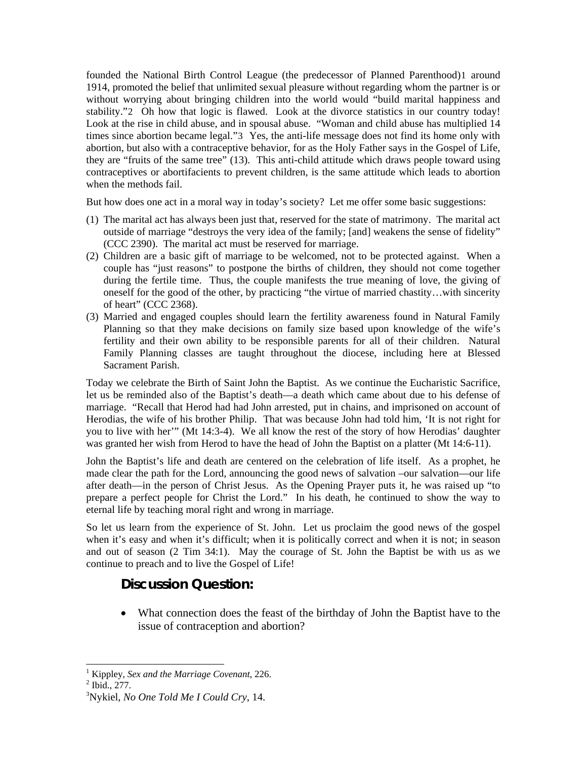founded the National Birth Control League (the predecessor of Planned Parenthood)[1](#page-34-0) around 1914, promoted the belief that unlimited sexual pleasure without regarding whom the partner is or without worrying about bringing children into the world would "build marital happiness and stability."[2](#page-34-1) Oh how that logic is flawed. Look at the divorce statistics in our country today! Look at the rise in child abuse, and in spousal abuse. "Woman and child abuse has multiplied 14 times since abortion became legal."[3](#page-34-2) Yes, the anti-life message does not find its home only with abortion, but also with a contraceptive behavior, for as the Holy Father says in the Gospel of Life, they are "fruits of the same tree" (13). This anti-child attitude which draws people toward using contraceptives or abortifacients to prevent children, is the same attitude which leads to abortion when the methods fail.

But how does one act in a moral way in today's society? Let me offer some basic suggestions:

- (1) The marital act has always been just that, reserved for the state of matrimony. The marital act outside of marriage "destroys the very idea of the family; [and] weakens the sense of fidelity" (CCC 2390). The marital act must be reserved for marriage.
- (2) Children are a basic gift of marriage to be welcomed, not to be protected against. When a couple has "just reasons" to postpone the births of children, they should not come together during the fertile time. Thus, the couple manifests the true meaning of love, the giving of oneself for the good of the other, by practicing "the virtue of married chastity…with sincerity of heart" (CCC 2368).
- (3) Married and engaged couples should learn the fertility awareness found in Natural Family Planning so that they make decisions on family size based upon knowledge of the wife's fertility and their own ability to be responsible parents for all of their children. Natural Family Planning classes are taught throughout the diocese, including here at Blessed Sacrament Parish.

Today we celebrate the Birth of Saint John the Baptist. As we continue the Eucharistic Sacrifice, let us be reminded also of the Baptist's death—a death which came about due to his defense of marriage. "Recall that Herod had had John arrested, put in chains, and imprisoned on account of Herodias, the wife of his brother Philip. That was because John had told him, 'It is not right for you to live with her'" (Mt 14:3-4). We all know the rest of the story of how Herodias' daughter was granted her wish from Herod to have the head of John the Baptist on a platter (Mt 14:6-11).

John the Baptist's life and death are centered on the celebration of life itself. As a prophet, he made clear the path for the Lord, announcing the good news of salvation –our salvation—our life after death—in the person of Christ Jesus. As the Opening Prayer puts it, he was raised up "to prepare a perfect people for Christ the Lord." In his death, he continued to show the way to eternal life by teaching moral right and wrong in marriage.

So let us learn from the experience of St. John. Let us proclaim the good news of the gospel when it's easy and when it's difficult; when it is politically correct and when it is not; in season and out of season (2 Tim 34:1). May the courage of St. John the Baptist be with us as we continue to preach and to live the Gospel of Life!

### **Discussion Question:**

• What connection does the feast of the birthday of John the Baptist have to the issue of contraception and abortion?

 $\overline{a}$ 

<sup>1</sup> Kippley, *Sex and the Marriage Covenant*, 226. 2

<span id="page-34-1"></span><span id="page-34-0"></span> $<sup>2</sup>$  Ibid., 277.</sup>

<span id="page-34-2"></span><sup>3</sup> Nykiel, *No One Told Me I Could Cry*, 14.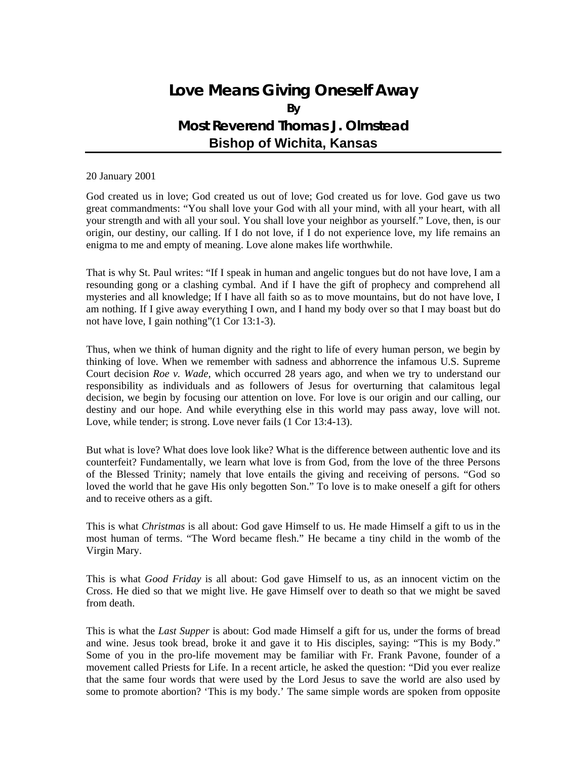# **Love Means Giving Oneself Away By Most Reverend Thomas J. Olmstead Bishop of Wichita, Kansas**

#### 20 January 2001

God created us in love; God created us out of love; God created us for love. God gave us two great commandments: "You shall love your God with all your mind, with all your heart, with all your strength and with all your soul. You shall love your neighbor as yourself." Love, then, is our origin, our destiny, our calling. If I do not love, if I do not experience love, my life remains an enigma to me and empty of meaning. Love alone makes life worthwhile.

That is why St. Paul writes: "If I speak in human and angelic tongues but do not have love, I am a resounding gong or a clashing cymbal. And if I have the gift of prophecy and comprehend all mysteries and all knowledge; If I have all faith so as to move mountains, but do not have love, I am nothing. If I give away everything I own, and I hand my body over so that I may boast but do not have love, I gain nothing"(1 Cor 13:1-3).

Thus, when we think of human dignity and the right to life of every human person, we begin by thinking of love. When we remember with sadness and abhorrence the infamous U.S. Supreme Court decision *Roe v. Wade,* which occurred 28 years ago, and when we try to understand our responsibility as individuals and as followers of Jesus for overturning that calamitous legal decision, we begin by focusing our attention on love. For love is our origin and our calling, our destiny and our hope. And while everything else in this world may pass away, love will not. Love, while tender; is strong. Love never fails (1 Cor 13:4-13).

But what is love? What does love look like? What is the difference between authentic love and its counterfeit? Fundamentally, we learn what love is from God, from the love of the three Persons of the Blessed Trinity; namely that love entails the giving and receiving of persons. "God so loved the world that he gave His only begotten Son." To love is to make oneself a gift for others and to receive others as a gift.

This is what *Christmas* is all about: God gave Himself to us. He made Himself a gift to us in the most human of terms. "The Word became flesh." He became a tiny child in the womb of the Virgin Mary.

This is what *Good Friday* is all about: God gave Himself to us, as an innocent victim on the Cross. He died so that we might live. He gave Himself over to death so that we might be saved from death.

This is what the *Last Supper* is about: God made Himself a gift for us, under the forms of bread and wine. Jesus took bread, broke it and gave it to His disciples, saying: "This is my Body." Some of you in the pro-life movement may be familiar with Fr. Frank Pavone, founder of a movement called Priests for Life. In a recent article, he asked the question: "Did you ever realize that the same four words that were used by the Lord Jesus to save the world are also used by some to promote abortion? 'This is my body.' The same simple words are spoken from opposite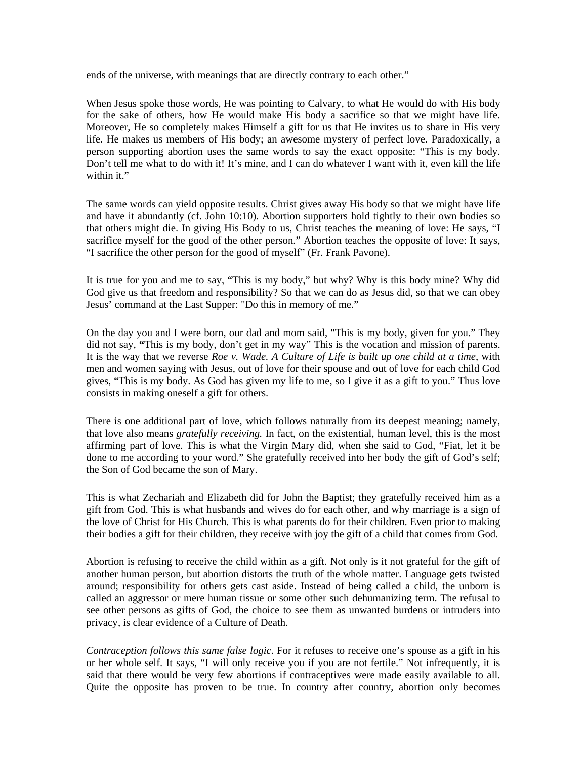ends of the universe, with meanings that are directly contrary to each other."

When Jesus spoke those words, He was pointing to Calvary, to what He would do with His body for the sake of others, how He would make His body a sacrifice so that we might have life. Moreover, He so completely makes Himself a gift for us that He invites us to share in His very life. He makes us members of His body; an awesome mystery of perfect love. Paradoxically, a person supporting abortion uses the same words to say the exact opposite: "This is my body. Don't tell me what to do with it! It's mine, and I can do whatever I want with it, even kill the life within it."

The same words can yield opposite results. Christ gives away His body so that we might have life and have it abundantly (cf. John 10:10). Abortion supporters hold tightly to their own bodies so that others might die. In giving His Body to us, Christ teaches the meaning of love: He says, "I sacrifice myself for the good of the other person." Abortion teaches the opposite of love: It says, "I sacrifice the other person for the good of myself" (Fr. Frank Pavone).

It is true for you and me to say, "This is my body," but why? Why is this body mine? Why did God give us that freedom and responsibility? So that we can do as Jesus did, so that we can obey Jesus' command at the Last Supper: "Do this in memory of me."

On the day you and I were born, our dad and mom said, "This is my body, given for you." They did not say, **"**This is my body, don't get in my way" This is the vocation and mission of parents. It is the way that we reverse *Roe v. Wade. A Culture of Life is built up one child at a time*, with men and women saying with Jesus, out of love for their spouse and out of love for each child God gives, "This is my body. As God has given my life to me, so I give it as a gift to you." Thus love consists in making oneself a gift for others.

There is one additional part of love, which follows naturally from its deepest meaning; namely, that love also means *gratefully receiving.* In fact, on the existential, human level, this is the most affirming part of love. This is what the Virgin Mary did, when she said to God, "Fiat, let it be done to me according to your word." She gratefully received into her body the gift of God's self; the Son of God became the son of Mary.

This is what Zechariah and Elizabeth did for John the Baptist; they gratefully received him as a gift from God. This is what husbands and wives do for each other, and why marriage is a sign of the love of Christ for His Church. This is what parents do for their children. Even prior to making their bodies a gift for their children, they receive with joy the gift of a child that comes from God.

Abortion is refusing to receive the child within as a gift. Not only is it not grateful for the gift of another human person, but abortion distorts the truth of the whole matter. Language gets twisted around; responsibility for others gets cast aside. Instead of being called a child, the unborn is called an aggressor or mere human tissue or some other such dehumanizing term. The refusal to see other persons as gifts of God, the choice to see them as unwanted burdens or intruders into privacy, is clear evidence of a Culture of Death.

*Contraception follows this same false logic*. For it refuses to receive one's spouse as a gift in his or her whole self. It says, "I will only receive you if you are not fertile." Not infrequently, it is said that there would be very few abortions if contraceptives were made easily available to all. Quite the opposite has proven to be true. In country after country, abortion only becomes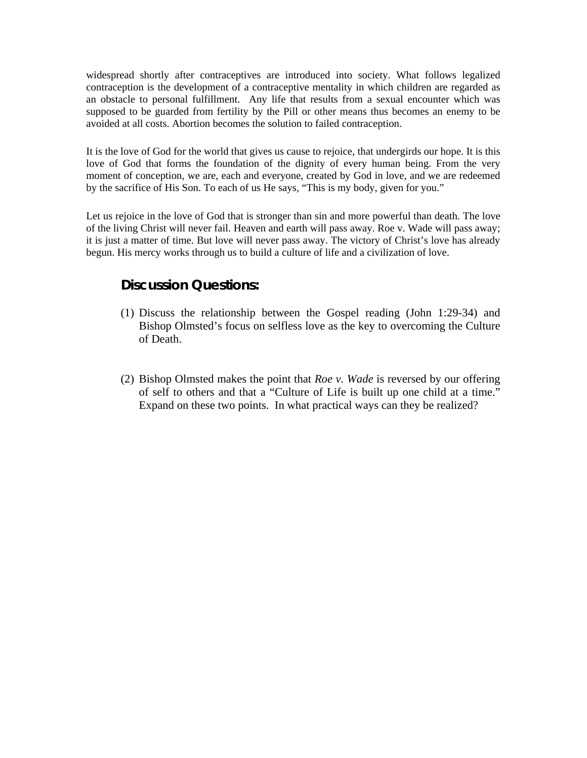widespread shortly after contraceptives are introduced into society. What follows legalized contraception is the development of a contraceptive mentality in which children are regarded as an obstacle to personal fulfillment. Any life that results from a sexual encounter which was supposed to be guarded from fertility by the Pill or other means thus becomes an enemy to be avoided at all costs. Abortion becomes the solution to failed contraception.

It is the love of God for the world that gives us cause to rejoice, that undergirds our hope. It is this love of God that forms the foundation of the dignity of every human being. From the very moment of conception, we are, each and everyone, created by God in love, and we are redeemed by the sacrifice of His Son. To each of us He says, "This is my body, given for you."

Let us rejoice in the love of God that is stronger than sin and more powerful than death. The love of the living Christ will never fail. Heaven and earth will pass away. Roe v. Wade will pass away; it is just a matter of time. But love will never pass away. The victory of Christ's love has already begun. His mercy works through us to build a culture of life and a civilization of love.

### **Discussion Questions:**

- (1) Discuss the relationship between the Gospel reading (John 1:29-34) and Bishop Olmsted's focus on selfless love as the key to overcoming the Culture of Death.
- (2) Bishop Olmsted makes the point that *Roe v. Wade* is reversed by our offering of self to others and that a "Culture of Life is built up one child at a time." Expand on these two points. In what practical ways can they be realized?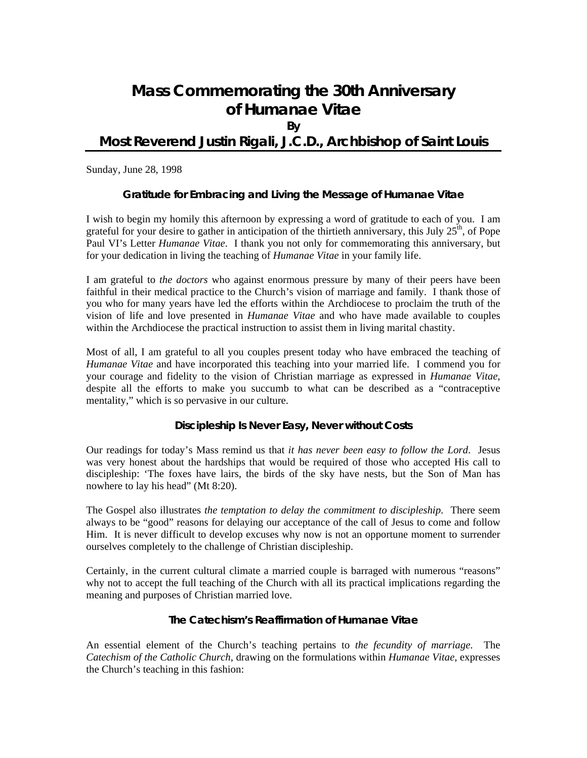# **Mass Commemorating the 30th Anniversary of** *Humanae Vitae*

**By** 

### **Most Reverend Justin Rigali, J.C.D., Archbishop of Saint Louis**

Sunday, June 28, 1998

### **Gratitude for Embracing and Living the Message of** *Humanae Vitae*

I wish to begin my homily this afternoon by expressing a word of gratitude to each of you. I am grateful for your desire to gather in anticipation of the thirtieth anniversary, this July  $25<sup>th</sup>$ , of Pope Paul VI's Letter *Humanae Vitae*. I thank you not only for commemorating this anniversary, but for your dedication in living the teaching of *Humanae Vitae* in your family life.

I am grateful to *the doctors* who against enormous pressure by many of their peers have been faithful in their medical practice to the Church's vision of marriage and family. I thank those of you who for many years have led the efforts within the Archdiocese to proclaim the truth of the vision of life and love presented in *Humanae Vitae* and who have made available to couples within the Archdiocese the practical instruction to assist them in living marital chastity.

Most of all, I am grateful to all you couples present today who have embraced the teaching of *Humanae Vitae* and have incorporated this teaching into your married life. I commend you for your courage and fidelity to the vision of Christian marriage as expressed in *Humanae Vitae*, despite all the efforts to make you succumb to what can be described as a "contraceptive mentality," which is so pervasive in our culture.

#### **Discipleship Is Never Easy, Never without Costs**

Our readings for today's Mass remind us that *it has never been easy to follow the Lord*. Jesus was very honest about the hardships that would be required of those who accepted His call to discipleship: 'The foxes have lairs, the birds of the sky have nests, but the Son of Man has nowhere to lay his head" (Mt 8:20).

The Gospel also illustrates *the temptation to delay the commitment to discipleship*. There seem always to be "good" reasons for delaying our acceptance of the call of Jesus to come and follow Him. It is never difficult to develop excuses why now is not an opportune moment to surrender ourselves completely to the challenge of Christian discipleship.

Certainly, in the current cultural climate a married couple is barraged with numerous "reasons" why not to accept the full teaching of the Church with all its practical implications regarding the meaning and purposes of Christian married love.

#### **The Catechism's Reaffirmation of** *Humanae Vitae*

An essential element of the Church's teaching pertains to *the fecundity of marriage*. The *Catechism of the Catholic Church*, drawing on the formulations within *Humanae Vitae*, expresses the Church's teaching in this fashion: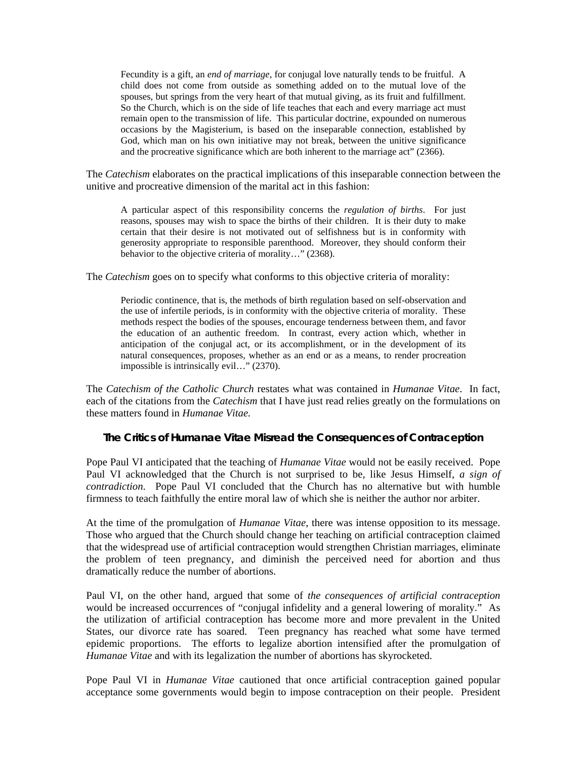Fecundity is a gift, an *end of marriage*, for conjugal love naturally tends to be fruitful. A child does not come from outside as something added on to the mutual love of the spouses, but springs from the very heart of that mutual giving, as its fruit and fulfillment. So the Church, which is on the side of life teaches that each and every marriage act must remain open to the transmission of life. This particular doctrine, expounded on numerous occasions by the Magisterium, is based on the inseparable connection, established by God, which man on his own initiative may not break, between the unitive significance and the procreative significance which are both inherent to the marriage act" (2366).

The *Catechism* elaborates on the practical implications of this inseparable connection between the unitive and procreative dimension of the marital act in this fashion:

A particular aspect of this responsibility concerns the *regulation of births*. For just reasons, spouses may wish to space the births of their children. It is their duty to make certain that their desire is not motivated out of selfishness but is in conformity with generosity appropriate to responsible parenthood. Moreover, they should conform their behavior to the objective criteria of morality..." (2368).

The *Catechism* goes on to specify what conforms to this objective criteria of morality:

Periodic continence, that is, the methods of birth regulation based on self-observation and the use of infertile periods, is in conformity with the objective criteria of morality. These methods respect the bodies of the spouses, encourage tenderness between them, and favor the education of an authentic freedom. In contrast, every action which, whether in anticipation of the conjugal act, or its accomplishment, or in the development of its natural consequences, proposes, whether as an end or as a means, to render procreation impossible is intrinsically evil…" (2370).

The *Catechism of the Catholic Church* restates what was contained in *Humanae Vitae*. In fact, each of the citations from the *Catechism* that I have just read relies greatly on the formulations on these matters found in *Humanae Vitae.*

#### **The Critics of** *Humanae Vitae* **Misread the Consequences of Contraception**

Pope Paul VI anticipated that the teaching of *Humanae Vitae* would not be easily received. Pope Paul VI acknowledged that the Church is not surprised to be, like Jesus Himself, *a sign of contradiction*. Pope Paul VI concluded that the Church has no alternative but with humble firmness to teach faithfully the entire moral law of which she is neither the author nor arbiter.

At the time of the promulgation of *Humanae Vitae*, there was intense opposition to its message. Those who argued that the Church should change her teaching on artificial contraception claimed that the widespread use of artificial contraception would strengthen Christian marriages, eliminate the problem of teen pregnancy, and diminish the perceived need for abortion and thus dramatically reduce the number of abortions.

Paul VI, on the other hand, argued that some of *the consequences of artificial contraception* would be increased occurrences of "conjugal infidelity and a general lowering of morality." As the utilization of artificial contraception has become more and more prevalent in the United States, our divorce rate has soared. Teen pregnancy has reached what some have termed epidemic proportions. The efforts to legalize abortion intensified after the promulgation of *Humanae Vitae* and with its legalization the number of abortions has skyrocketed.

Pope Paul VI in *Humanae Vitae* cautioned that once artificial contraception gained popular acceptance some governments would begin to impose contraception on their people. President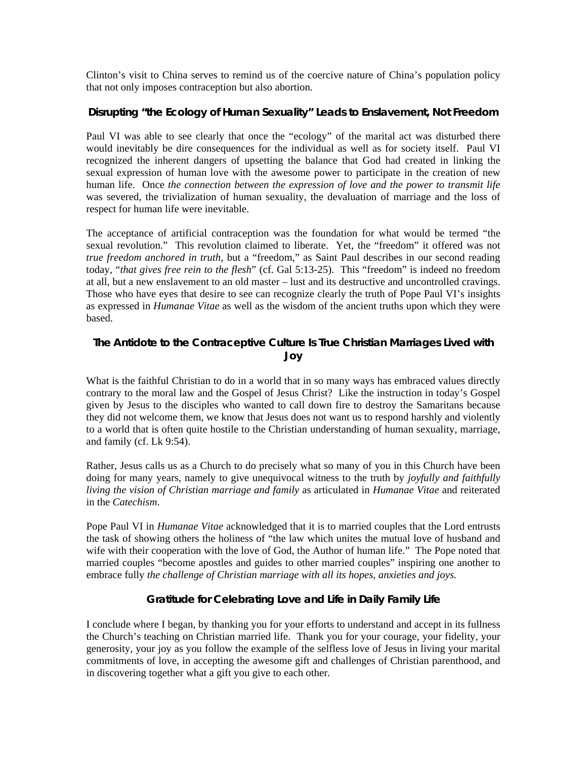Clinton's visit to China serves to remind us of the coercive nature of China's population policy that not only imposes contraception but also abortion.

#### **Disrupting "the Ecology of Human Sexuality" Leads to Enslavement, Not Freedom**

Paul VI was able to see clearly that once the "ecology" of the marital act was disturbed there would inevitably be dire consequences for the individual as well as for society itself. Paul VI recognized the inherent dangers of upsetting the balance that God had created in linking the sexual expression of human love with the awesome power to participate in the creation of new human life. Once *the connection between the expression of love and the power to transmit life* was severed, the trivialization of human sexuality, the devaluation of marriage and the loss of respect for human life were inevitable.

The acceptance of artificial contraception was the foundation for what would be termed "the sexual revolution." This revolution claimed to liberate. Yet, the "freedom" it offered was not *true freedom anchored in truth*, but a "freedom," as Saint Paul describes in our second reading today, "*that gives free rein to the flesh*" (cf. Gal 5:13-25). This "freedom" is indeed no freedom at all, but a new enslavement to an old master – lust and its destructive and uncontrolled cravings. Those who have eyes that desire to see can recognize clearly the truth of Pope Paul VI's insights as expressed in *Humanae Vitae* as well as the wisdom of the ancient truths upon which they were based.

### **The Antidote to the Contraceptive Culture Is True Christian Marriages Lived with Joy**

What is the faithful Christian to do in a world that in so many ways has embraced values directly contrary to the moral law and the Gospel of Jesus Christ? Like the instruction in today's Gospel given by Jesus to the disciples who wanted to call down fire to destroy the Samaritans because they did not welcome them, we know that Jesus does not want us to respond harshly and violently to a world that is often quite hostile to the Christian understanding of human sexuality, marriage, and family (cf. Lk 9:54).

Rather, Jesus calls us as a Church to do precisely what so many of you in this Church have been doing for many years, namely to give unequivocal witness to the truth by *joyfully and faithfully living the vision of Christian marriage and family* as articulated in *Humanae Vitae* and reiterated in the *Catechism*.

Pope Paul VI in *Humanae Vitae* acknowledged that it is to married couples that the Lord entrusts the task of showing others the holiness of "the law which unites the mutual love of husband and wife with their cooperation with the love of God, the Author of human life." The Pope noted that married couples "become apostles and guides to other married couples" inspiring one another to embrace fully *the challenge of Christian marriage with all its hopes, anxieties and joys.*

### **Gratitude for Celebrating Love and Life in Daily Family Life**

I conclude where I began, by thanking you for your efforts to understand and accept in its fullness the Church's teaching on Christian married life. Thank you for your courage, your fidelity, your generosity, your joy as you follow the example of the selfless love of Jesus in living your marital commitments of love, in accepting the awesome gift and challenges of Christian parenthood, and in discovering together what a gift you give to each other.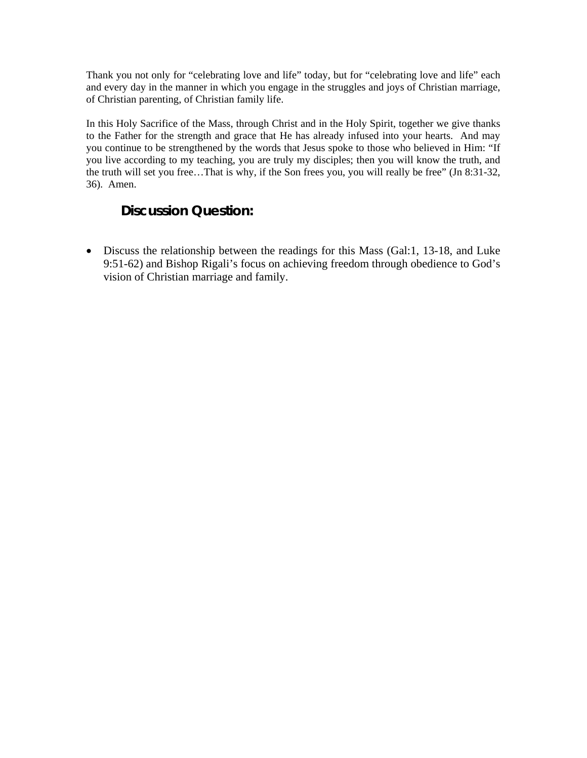Thank you not only for "celebrating love and life" today, but for "celebrating love and life" each and every day in the manner in which you engage in the struggles and joys of Christian marriage, of Christian parenting, of Christian family life.

In this Holy Sacrifice of the Mass, through Christ and in the Holy Spirit, together we give thanks to the Father for the strength and grace that He has already infused into your hearts. And may you continue to be strengthened by the words that Jesus spoke to those who believed in Him: "If you live according to my teaching, you are truly my disciples; then you will know the truth, and the truth will set you free…That is why, if the Son frees you, you will really be free" (Jn 8:31-32, 36). Amen.

### **Discussion Question:**

• Discuss the relationship between the readings for this Mass (Gal:1, 13-18, and Luke 9:51-62) and Bishop Rigali's focus on achieving freedom through obedience to God's vision of Christian marriage and family.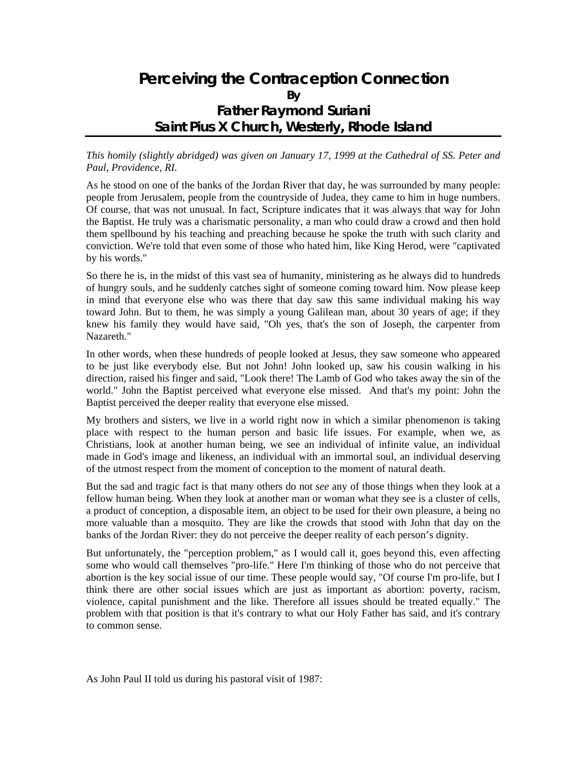## **Perceiving the Contraception Connection By Father Raymond Suriani Saint Pius X Church, Westerly, Rhode Island**

#### *This homily (slightly abridged) was given on January 17, 1999 at the Cathedral of SS. Peter and Paul, Providence, RI.*

As he stood on one of the banks of the Jordan River that day, he was surrounded by many people: people from Jerusalem, people from the countryside of Judea, they came to him in huge numbers. Of course, that was not unusual. In fact, Scripture indicates that it was always that way for John the Baptist. He truly was a charismatic personality, a man who could draw a crowd and then hold them spellbound by his teaching and preaching because he spoke the truth with such clarity and conviction. We're told that even some of those who hated him, like King Herod, were "captivated by his words."

So there he is, in the midst of this vast sea of humanity, ministering as he always did to hundreds of hungry souls, and he suddenly catches sight of someone coming toward him. Now please keep in mind that everyone else who was there that day saw this same individual making his way toward John. But to them, he was simply a young Galilean man, about 30 years of age; if they knew his family they would have said, "Oh yes, that's the son of Joseph, the carpenter from Nazareth."

In other words, when these hundreds of people looked at Jesus, they saw someone who appeared to be just like everybody else. But not John! John looked up, saw his cousin walking in his direction, raised his finger and said, "Look there! The Lamb of God who takes away the sin of the world." John the Baptist perceived what everyone else missed. And that's my point: John the Baptist perceived the deeper reality that everyone else missed.

My brothers and sisters, we live in a world right now in which a similar phenomenon is taking place with respect to the human person and basic life issues. For example, when we, as Christians, look at another human being, we see an individual of infinite value, an individual made in God's image and likeness, an individual with an immortal soul, an individual deserving of the utmost respect from the moment of conception to the moment of natural death.

But the sad and tragic fact is that many others do not *see* any of those things when they look at a fellow human being. When they look at another man or woman what they see is a cluster of cells, a product of conception, a disposable item, an object to be used for their own pleasure, a being no more valuable than a mosquito. They are like the crowds that stood with John that day on the banks of the Jordan River: they do not perceive the deeper reality of each person's dignity.

But unfortunately, the "perception problem," as I would call it, goes beyond this, even affecting some who would call themselves "pro-life." Here I'm thinking of those who do not perceive that abortion is the key social issue of our time. These people would say, "Of course I'm pro-life, but I think there are other social issues which are just as important as abortion: poverty, racism, violence, capital punishment and the like. Therefore all issues should be treated equally." The problem with that position is that it's contrary to what our Holy Father has said, and it's contrary to common sense.

As John Paul II told us during his pastoral visit of 1987: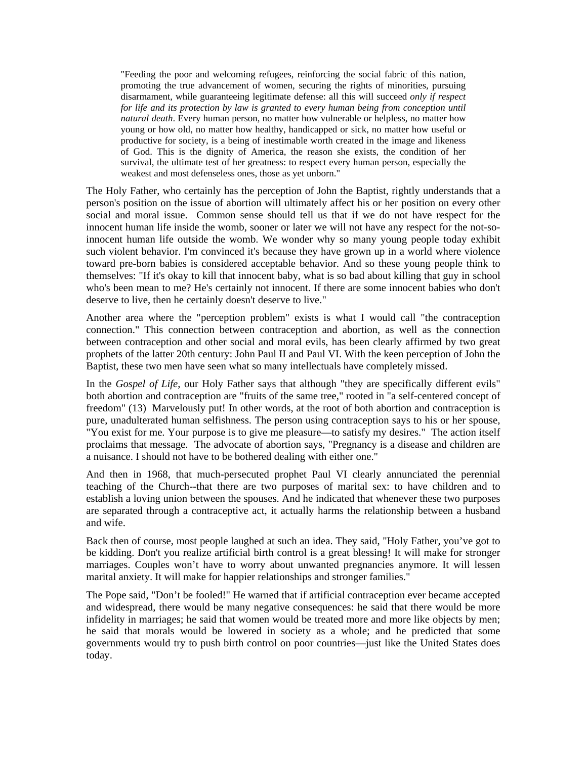"Feeding the poor and welcoming refugees, reinforcing the social fabric of this nation, promoting the true advancement of women, securing the rights of minorities, pursuing disarmament, while guaranteeing legitimate defense: all this will succeed *only if respect for life and its protection by law is granted to every human being from conception until natural death*. Every human person, no matter how vulnerable or helpless, no matter how young or how old, no matter how healthy, handicapped or sick, no matter how useful or productive for society, is a being of inestimable worth created in the image and likeness of God. This is the dignity of America, the reason she exists, the condition of her survival, the ultimate test of her greatness: to respect every human person, especially the weakest and most defenseless ones, those as yet unborn."

The Holy Father, who certainly has the perception of John the Baptist, rightly understands that a person's position on the issue of abortion will ultimately affect his or her position on every other social and moral issue. Common sense should tell us that if we do not have respect for the innocent human life inside the womb, sooner or later we will not have any respect for the not-soinnocent human life outside the womb. We wonder why so many young people today exhibit such violent behavior. I'm convinced it's because they have grown up in a world where violence toward pre-born babies is considered acceptable behavior. And so these young people think to themselves: "If it's okay to kill that innocent baby, what is so bad about killing that guy in school who's been mean to me? He's certainly not innocent. If there are some innocent babies who don't deserve to live, then he certainly doesn't deserve to live."

Another area where the "perception problem" exists is what I would call "the contraception connection." This connection between contraception and abortion, as well as the connection between contraception and other social and moral evils, has been clearly affirmed by two great prophets of the latter 20th century: John Paul II and Paul VI. With the keen perception of John the Baptist, these two men have seen what so many intellectuals have completely missed.

In the *Gospel of Life*, our Holy Father says that although "they are specifically different evils" both abortion and contraception are "fruits of the same tree," rooted in "a self-centered concept of freedom" (13) Marvelously put! In other words, at the root of both abortion and contraception is pure, unadulterated human selfishness. The person using contraception says to his or her spouse, "You exist for me. Your purpose is to give me pleasure—to satisfy my desires." The action itself proclaims that message. The advocate of abortion says, "Pregnancy is a disease and children are a nuisance. I should not have to be bothered dealing with either one."

And then in 1968, that much-persecuted prophet Paul VI clearly annunciated the perennial teaching of the Church--that there are two purposes of marital sex: to have children and to establish a loving union between the spouses. And he indicated that whenever these two purposes are separated through a contraceptive act, it actually harms the relationship between a husband and wife.

Back then of course, most people laughed at such an idea. They said, "Holy Father, you've got to be kidding. Don't you realize artificial birth control is a great blessing! It will make for stronger marriages. Couples won't have to worry about unwanted pregnancies anymore. It will lessen marital anxiety. It will make for happier relationships and stronger families."

The Pope said, "Don't be fooled!" He warned that if artificial contraception ever became accepted and widespread, there would be many negative consequences: he said that there would be more infidelity in marriages; he said that women would be treated more and more like objects by men; he said that morals would be lowered in society as a whole; and he predicted that some governments would try to push birth control on poor countries—just like the United States does today.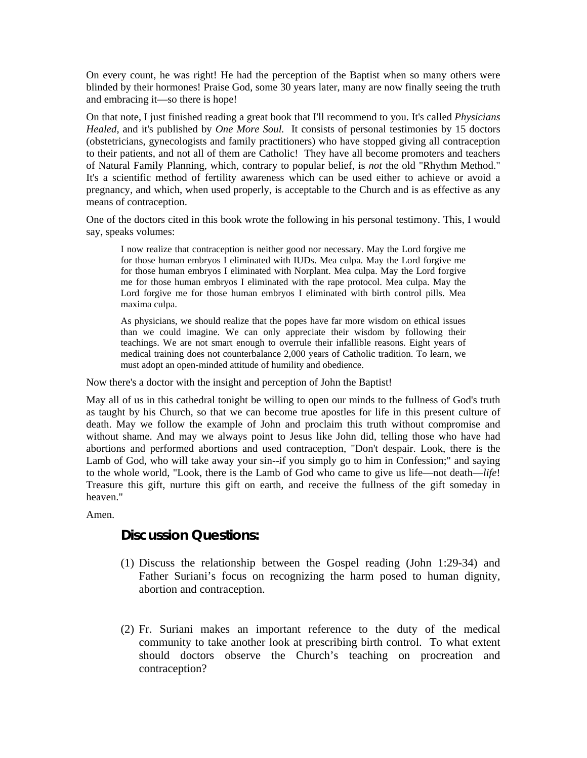On every count, he was right! He had the perception of the Baptist when so many others were blinded by their hormones! Praise God, some 30 years later, many are now finally seeing the truth and embracing it—so there is hope!

On that note, I just finished reading a great book that I'll recommend to you. It's called *Physicians Healed*, and it's published by *One More Soul.* It consists of personal testimonies by 15 doctors (obstetricians, gynecologists and family practitioners) who have stopped giving all contraception to their patients, and not all of them are Catholic! They have all become promoters and teachers of Natural Family Planning, which, contrary to popular belief, is *not* the old "Rhythm Method." It's a scientific method of fertility awareness which can be used either to achieve or avoid a pregnancy, and which, when used properly, is acceptable to the Church and is as effective as any means of contraception.

One of the doctors cited in this book wrote the following in his personal testimony. This, I would say, speaks volumes:

I now realize that contraception is neither good nor necessary. May the Lord forgive me for those human embryos I eliminated with IUDs. Mea culpa. May the Lord forgive me for those human embryos I eliminated with Norplant. Mea culpa. May the Lord forgive me for those human embryos I eliminated with the rape protocol. Mea culpa. May the Lord forgive me for those human embryos I eliminated with birth control pills. Mea maxima culpa.

As physicians, we should realize that the popes have far more wisdom on ethical issues than we could imagine. We can only appreciate their wisdom by following their teachings. We are not smart enough to overrule their infallible reasons. Eight years of medical training does not counterbalance 2,000 years of Catholic tradition. To learn, we must adopt an open-minded attitude of humility and obedience.

Now there's a doctor with the insight and perception of John the Baptist!

May all of us in this cathedral tonight be willing to open our minds to the fullness of God's truth as taught by his Church, so that we can become true apostles for life in this present culture of death. May we follow the example of John and proclaim this truth without compromise and without shame. And may we always point to Jesus like John did, telling those who have had abortions and performed abortions and used contraception, "Don't despair. Look, there is the Lamb of God, who will take away your sin--if you simply go to him in Confession;" and saying to the whole world, "Look, there is the Lamb of God who came to give us life—not death—*life*! Treasure this gift, nurture this gift on earth, and receive the fullness of the gift someday in heaven."

Amen.

### **Discussion Questions:**

- (1) Discuss the relationship between the Gospel reading (John 1:29-34) and Father Suriani's focus on recognizing the harm posed to human dignity, abortion and contraception.
- (2) Fr. Suriani makes an important reference to the duty of the medical community to take another look at prescribing birth control. To what extent should doctors observe the Church's teaching on procreation and contraception?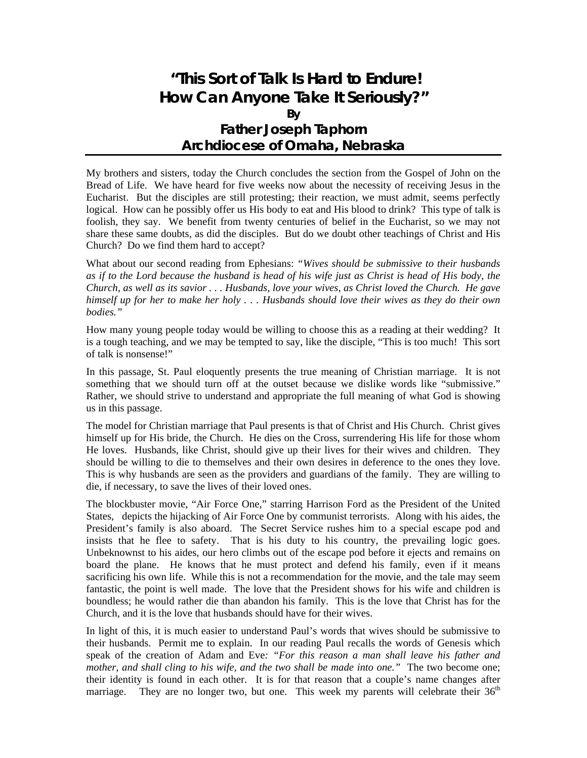# **"This Sort of Talk Is Hard to Endure! How Can Anyone Take It Seriously?" By Father Joseph Taphorn Archdiocese of Omaha, Nebraska**

My brothers and sisters, today the Church concludes the section from the Gospel of John on the Bread of Life. We have heard for five weeks now about the necessity of receiving Jesus in the Eucharist. But the disciples are still protesting; their reaction, we must admit, seems perfectly logical. How can he possibly offer us His body to eat and His blood to drink? This type of talk is foolish, they say. We benefit from twenty centuries of belief in the Eucharist, so we may not share these same doubts, as did the disciples. But do we doubt other teachings of Christ and His Church? Do we find them hard to accept?

What about our second reading from Ephesians: *"Wives should be submissive to their husbands as if to the Lord because the husband is head of his wife just as Christ is head of His body, the Church, as well as its savior . . . Husbands, love your wives, as Christ loved the Church. He gave himself up for her to make her holy . . . Husbands should love their wives as they do their own bodies."* 

How many young people today would be willing to choose this as a reading at their wedding? It is a tough teaching, and we may be tempted to say, like the disciple, "This is too much! This sort of talk is nonsense!"

In this passage, St. Paul eloquently presents the true meaning of Christian marriage. It is not something that we should turn off at the outset because we dislike words like "submissive." Rather, we should strive to understand and appropriate the full meaning of what God is showing us in this passage.

The model for Christian marriage that Paul presents is that of Christ and His Church. Christ gives himself up for His bride, the Church. He dies on the Cross, surrendering His life for those whom He loves. Husbands, like Christ, should give up their lives for their wives and children. They should be willing to die to themselves and their own desires in deference to the ones they love. This is why husbands are seen as the providers and guardians of the family. They are willing to die, if necessary, to save the lives of their loved ones.

The blockbuster movie, "Air Force One," starring Harrison Ford as the President of the United States, depicts the hijacking of Air Force One by communist terrorists. Along with his aides, the President's family is also aboard. The Secret Service rushes him to a special escape pod and insists that he flee to safety. That is his duty to his country, the prevailing logic goes. Unbeknownst to his aides, our hero climbs out of the escape pod before it ejects and remains on board the plane. He knows that he must protect and defend his family, even if it means sacrificing his own life. While this is not a recommendation for the movie, and the tale may seem fantastic, the point is well made. The love that the President shows for his wife and children is boundless; he would rather die than abandon his family. This is the love that Christ has for the Church, and it is the love that husbands should have for their wives.

In light of this, it is much easier to understand Paul's words that wives should be submissive to their husbands. Permit me to explain. In our reading Paul recalls the words of Genesis which speak of the creation of Adam and Eve*: "For this reason a man shall leave his father and mother, and shall cling to his wife, and the two shall be made into one."* The two become one; their identity is found in each other. It is for that reason that a couple's name changes after marriage. They are no longer two, but one. This week my parents will celebrate their  $36<sup>th</sup>$